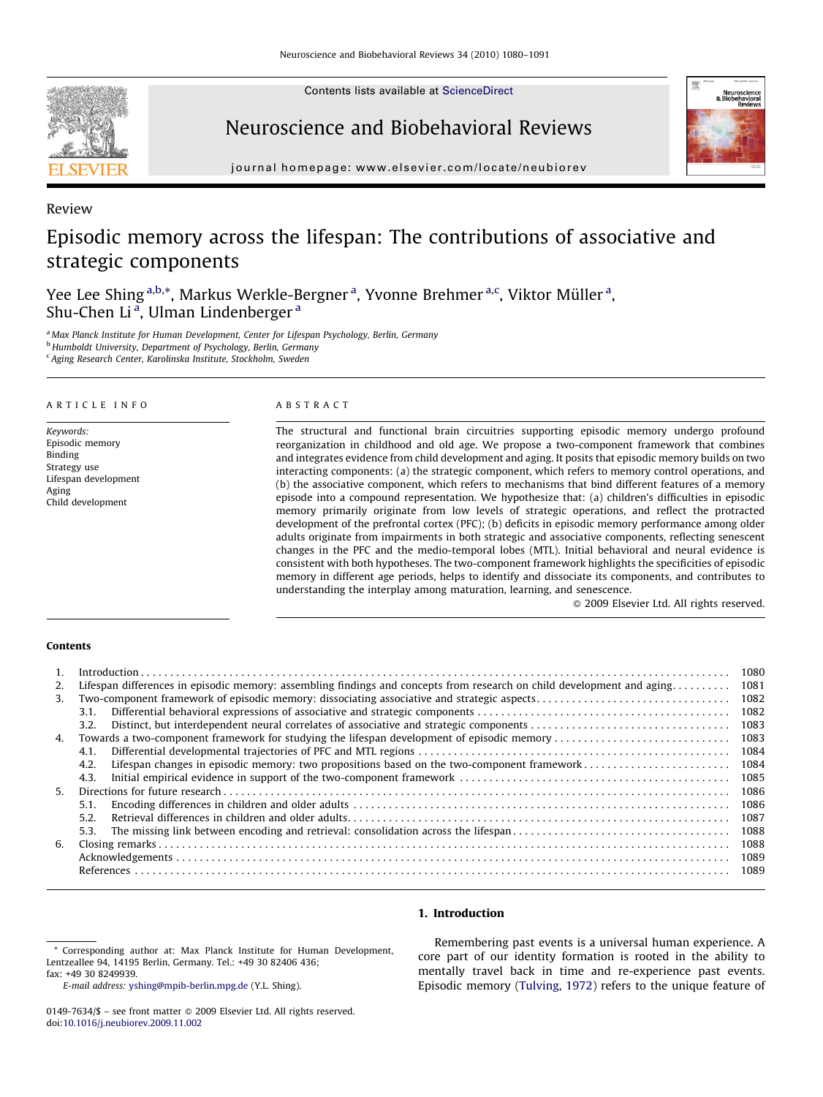

Review

Contents lists available at [ScienceDirect](http://www.sciencedirect.com/science/journal/01497634)

# Neuroscience and Biobehavioral Reviews



journal homepage: www.elsevier.com/locate/neubiorev

# Episodic memory across the lifespan: The contributions of associative and strategic components

Yee Lee Shing <sup>a,b,</sup>\*, Markus Werkle-Bergner <sup>a</sup>, Yvonne Brehmer <sup>a,c</sup>, Viktor Müller <sup>a</sup>, Shu-Chen Li<sup>a</sup>, Ulman Lindenberger<sup>a</sup>

<sup>a</sup> Max Planck Institute for Human Development, Center for Lifespan Psychology, Berlin, Germany

**b Humboldt University, Department of Psychology, Berlin, Germany** 

<sup>c</sup> Aging Research Center, Karolinska Institute, Stockholm, Sweden

#### ARTICLE INFO

Keywords: Episodic memory Binding Strategy use Lifespan development Aging Child development

#### ABSTRACT

The structural and functional brain circuitries supporting episodic memory undergo profound reorganization in childhood and old age. We propose a two-component framework that combines and integrates evidence from child development and aging. It posits that episodic memory builds on two interacting components: (a) the strategic component, which refers to memory control operations, and (b) the associative component, which refers to mechanisms that bind different features of a memory episode into a compound representation. We hypothesize that: (a) children's difficulties in episodic memory primarily originate from low levels of strategic operations, and reflect the protracted development of the prefrontal cortex (PFC); (b) deficits in episodic memory performance among older adults originate from impairments in both strategic and associative components, reflecting senescent changes in the PFC and the medio-temporal lobes (MTL). Initial behavioral and neural evidence is consistent with both hypotheses. The two-component framework highlights the specificities of episodic memory in different age periods, helps to identify and dissociate its components, and contributes to understanding the interplay among maturation, learning, and senescence.

- 2009 Elsevier Ltd. All rights reserved.

#### Contents

| 1080<br>1081                                                                                                           |
|------------------------------------------------------------------------------------------------------------------------|
| 1082                                                                                                                   |
| 1082                                                                                                                   |
| 1083                                                                                                                   |
| 1083                                                                                                                   |
| 1084                                                                                                                   |
| 1084                                                                                                                   |
| 1085                                                                                                                   |
| 1086                                                                                                                   |
| 1086                                                                                                                   |
| 1087                                                                                                                   |
| 1088                                                                                                                   |
| 1088                                                                                                                   |
| 1089                                                                                                                   |
| 1089                                                                                                                   |
| Lifespan differences in episodic memory: assembling findings and concepts from research on child development and aging |

#### 1. Introduction

\* Corresponding author at: Max Planck Institute for Human Development, Lentzeallee 94, 14195 Berlin, Germany. Tel.: +49 30 82406 436; fax: +49 30 8249939.

E-mail address: [yshing@mpib-berlin.mpg.de](mailto:yshing@mpib-berlin.mpg.de) (Y.L. Shing).

Remembering past events is a universal human experience. A core part of our identity formation is rooted in the ability to mentally travel back in time and re-experience past events. Episodic memory [\(Tulving, 1972\)](#page-10-0) refers to the unique feature of

<sup>0149-7634/\$ –</sup> see front matter @ 2009 Elsevier Ltd. All rights reserved. doi:[10.1016/j.neubiorev.2009.11.002](http://dx.doi.org/10.1016/j.neubiorev.2009.11.002)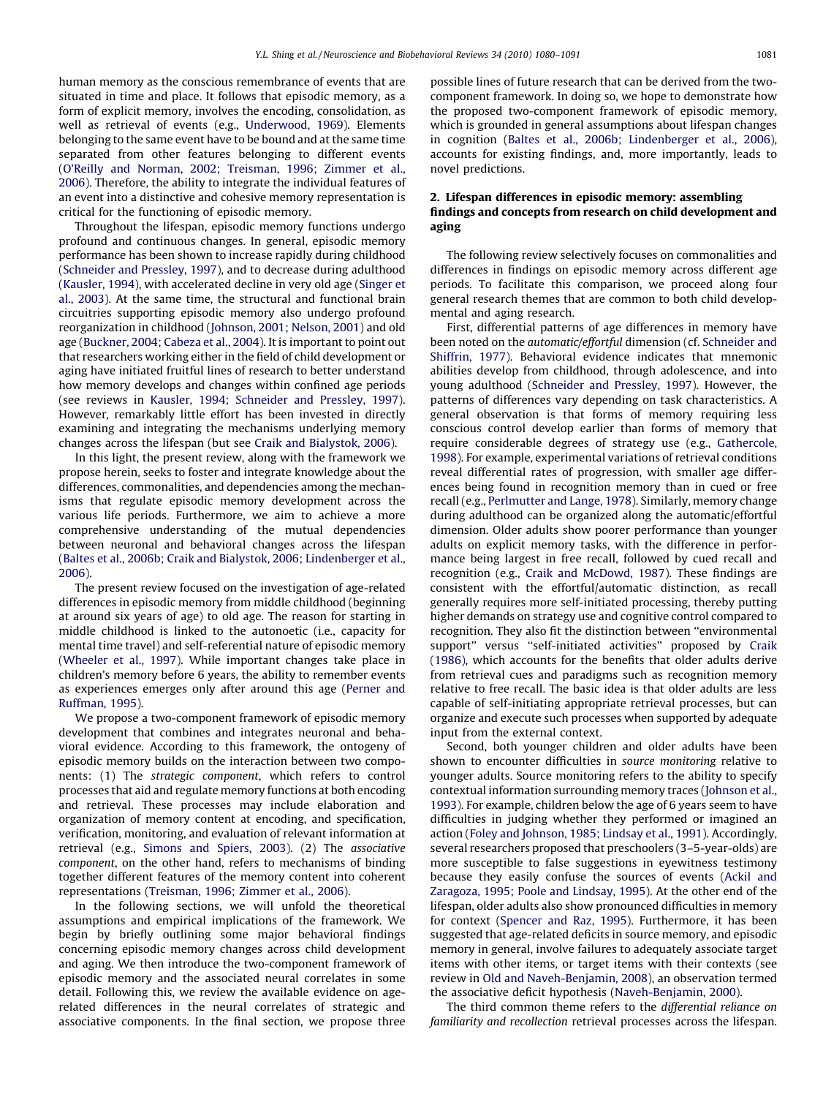human memory as the conscious remembrance of events that are situated in time and place. It follows that episodic memory, as a form of explicit memory, involves the encoding, consolidation, as well as retrieval of events (e.g., [Underwood, 1969\)](#page-10-0). Elements belonging to the same event have to be bound and at the same time separated from other features belonging to different events ([O'Reilly and Norman, 2002; Treisman, 1996; Zimmer et al.,](#page-10-0) [2006\)](#page-10-0). Therefore, the ability to integrate the individual features of an event into a distinctive and cohesive memory representation is critical for the functioning of episodic memory.

Throughout the lifespan, episodic memory functions undergo profound and continuous changes. In general, episodic memory performance has been shown to increase rapidly during childhood ([Schneider and Pressley, 1997](#page-10-0)), and to decrease during adulthood ([Kausler, 1994](#page-10-0)), with accelerated decline in very old age [\(Singer et](#page-10-0) [al., 2003\)](#page-10-0). At the same time, the structural and functional brain circuitries supporting episodic memory also undergo profound reorganization in childhood ([Johnson, 2001; Nelson, 2001](#page-10-0)) and old age [\(Buckner, 2004; Cabeza et al., 2004\)](#page-9-0). It is important to point out that researchers working either in the field of child development or aging have initiated fruitful lines of research to better understand how memory develops and changes within confined age periods (see reviews in [Kausler, 1994; Schneider and Pressley, 1997\)](#page-10-0). However, remarkably little effort has been invested in directly examining and integrating the mechanisms underlying memory changes across the lifespan (but see [Craik and Bialystok, 2006\)](#page-9-0).

In this light, the present review, along with the framework we propose herein, seeks to foster and integrate knowledge about the differences, commonalities, and dependencies among the mechanisms that regulate episodic memory development across the various life periods. Furthermore, we aim to achieve a more comprehensive understanding of the mutual dependencies between neuronal and behavioral changes across the lifespan ([Baltes et al., 2006b; Craik and Bialystok, 2006; Lindenberger et al.,](#page-9-0) [2006\)](#page-9-0).

The present review focused on the investigation of age-related differences in episodic memory from middle childhood (beginning at around six years of age) to old age. The reason for starting in middle childhood is linked to the autonoetic (i.e., capacity for mental time travel) and self-referential nature of episodic memory ([Wheeler et al., 1997\)](#page-11-0). While important changes take place in children's memory before 6 years, the ability to remember events as experiences emerges only after around this age ([Perner and](#page-10-0) [Ruffman, 1995](#page-10-0)).

We propose a two-component framework of episodic memory development that combines and integrates neuronal and behavioral evidence. According to this framework, the ontogeny of episodic memory builds on the interaction between two components: (1) The strategic component, which refers to control processes that aid and regulate memory functions at both encoding and retrieval. These processes may include elaboration and organization of memory content at encoding, and specification, verification, monitoring, and evaluation of relevant information at retrieval (e.g., [Simons and Spiers, 2003](#page-10-0)). (2) The associative component, on the other hand, refers to mechanisms of binding together different features of the memory content into coherent representations [\(Treisman, 1996; Zimmer et al., 2006\)](#page-10-0).

In the following sections, we will unfold the theoretical assumptions and empirical implications of the framework. We begin by briefly outlining some major behavioral findings concerning episodic memory changes across child development and aging. We then introduce the two-component framework of episodic memory and the associated neural correlates in some detail. Following this, we review the available evidence on agerelated differences in the neural correlates of strategic and associative components. In the final section, we propose three possible lines of future research that can be derived from the twocomponent framework. In doing so, we hope to demonstrate how the proposed two-component framework of episodic memory, which is grounded in general assumptions about lifespan changes in cognition ([Baltes et al., 2006b; Lindenberger et al., 2006\)](#page-9-0), accounts for existing findings, and, more importantly, leads to novel predictions.

# 2. Lifespan differences in episodic memory: assembling findings and concepts from research on child development and aging

The following review selectively focuses on commonalities and differences in findings on episodic memory across different age periods. To facilitate this comparison, we proceed along four general research themes that are common to both child developmental and aging research.

First, differential patterns of age differences in memory have been noted on the automatic/effortful dimension (cf. [Schneider and](#page-10-0) [Shiffrin, 1977](#page-10-0)). Behavioral evidence indicates that mnemonic abilities develop from childhood, through adolescence, and into young adulthood [\(Schneider and Pressley, 1997](#page-10-0)). However, the patterns of differences vary depending on task characteristics. A general observation is that forms of memory requiring less conscious control develop earlier than forms of memory that require considerable degrees of strategy use (e.g., [Gathercole,](#page-9-0) [1998\)](#page-9-0). For example, experimental variations of retrieval conditions reveal differential rates of progression, with smaller age differences being found in recognition memory than in cued or free recall (e.g., [Perlmutter and Lange, 1978](#page-10-0)). Similarly, memory change during adulthood can be organized along the automatic/effortful dimension. Older adults show poorer performance than younger adults on explicit memory tasks, with the difference in performance being largest in free recall, followed by cued recall and recognition (e.g., [Craik and McDowd, 1987](#page-9-0)). These findings are consistent with the effortful/automatic distinction, as recall generally requires more self-initiated processing, thereby putting higher demands on strategy use and cognitive control compared to recognition. They also fit the distinction between ''environmental support'' versus ''self-initiated activities'' proposed by [Craik](#page-9-0) [\(1986\),](#page-9-0) which accounts for the benefits that older adults derive from retrieval cues and paradigms such as recognition memory relative to free recall. The basic idea is that older adults are less capable of self-initiating appropriate retrieval processes, but can organize and execute such processes when supported by adequate input from the external context.

Second, both younger children and older adults have been shown to encounter difficulties in source monitoring relative to younger adults. Source monitoring refers to the ability to specify contextual information surrounding memory traces ([Johnson et al.,](#page-10-0) [1993\)](#page-10-0). For example, children below the age of 6 years seem to have difficulties in judging whether they performed or imagined an action ([Foley and Johnson, 1985; Lindsay et al., 1991](#page-9-0)). Accordingly, several researchers proposed that preschoolers (3–5-year-olds) are more susceptible to false suggestions in eyewitness testimony because they easily confuse the sources of events ([Ackil and](#page-9-0) [Zaragoza, 1995; Poole and Lindsay, 1995](#page-9-0)). At the other end of the lifespan, older adults also show pronounced difficulties in memory for context [\(Spencer and Raz, 1995\)](#page-10-0). Furthermore, it has been suggested that age-related deficits in source memory, and episodic memory in general, involve failures to adequately associate target items with other items, or target items with their contexts (see review in [Old and Naveh-Benjamin, 2008\)](#page-10-0), an observation termed the associative deficit hypothesis [\(Naveh-Benjamin, 2000\)](#page-10-0).

The third common theme refers to the differential reliance on familiarity and recollection retrieval processes across the lifespan.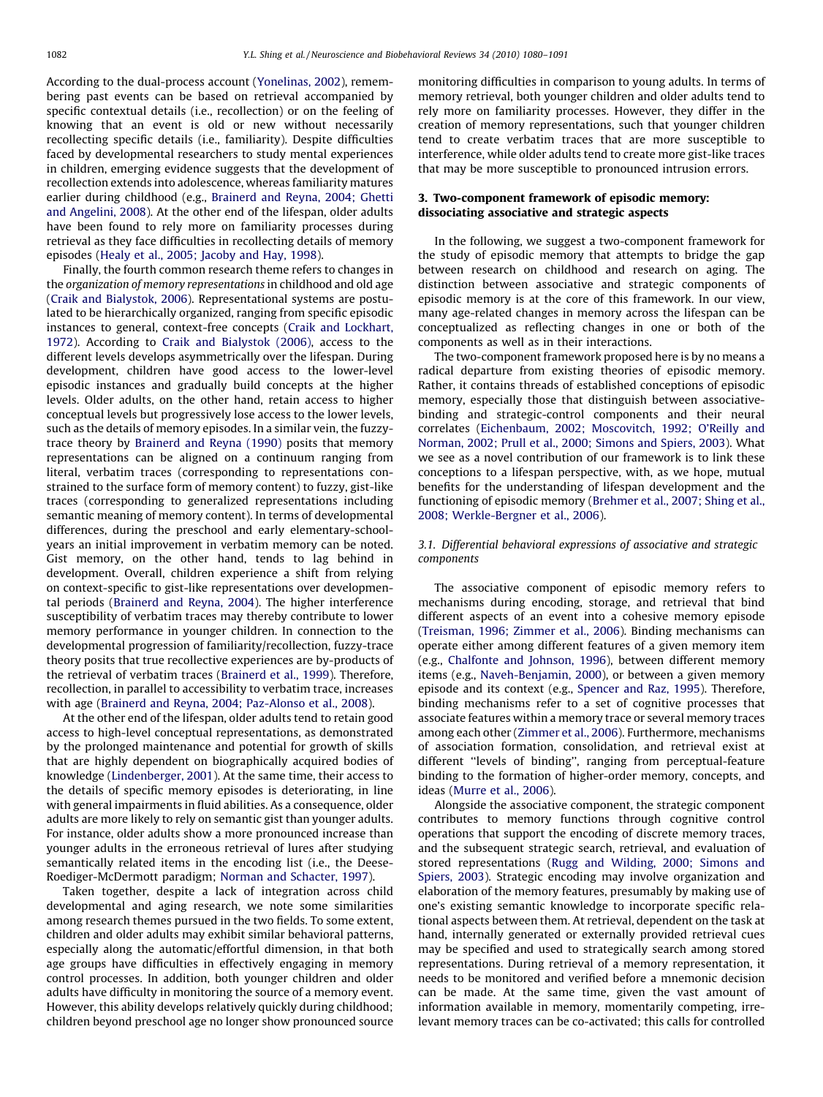According to the dual-process account [\(Yonelinas, 2002\)](#page-11-0), remembering past events can be based on retrieval accompanied by specific contextual details (i.e., recollection) or on the feeling of knowing that an event is old or new without necessarily recollecting specific details (i.e., familiarity). Despite difficulties faced by developmental researchers to study mental experiences in children, emerging evidence suggests that the development of recollection extends into adolescence, whereas familiarity matures earlier during childhood (e.g., [Brainerd and Reyna, 2004; Ghetti](#page-9-0) [and Angelini, 2008\)](#page-9-0). At the other end of the lifespan, older adults have been found to rely more on familiarity processes during retrieval as they face difficulties in recollecting details of memory episodes ([Healy et al., 2005; Jacoby and Hay, 1998](#page-10-0)).

Finally, the fourth common research theme refers to changes in the organization of memory representations in childhood and old age ([Craik and Bialystok, 2006\)](#page-9-0). Representational systems are postulated to be hierarchically organized, ranging from specific episodic instances to general, context-free concepts ([Craik and Lockhart,](#page-9-0) [1972](#page-9-0)). According to [Craik and Bialystok \(2006\)](#page-9-0), access to the different levels develops asymmetrically over the lifespan. During development, children have good access to the lower-level episodic instances and gradually build concepts at the higher levels. Older adults, on the other hand, retain access to higher conceptual levels but progressively lose access to the lower levels, such as the details of memory episodes. In a similar vein, the fuzzytrace theory by [Brainerd and Reyna \(1990\)](#page-9-0) posits that memory representations can be aligned on a continuum ranging from literal, verbatim traces (corresponding to representations constrained to the surface form of memory content) to fuzzy, gist-like traces (corresponding to generalized representations including semantic meaning of memory content). In terms of developmental differences, during the preschool and early elementary-schoolyears an initial improvement in verbatim memory can be noted. Gist memory, on the other hand, tends to lag behind in development. Overall, children experience a shift from relying on context-specific to gist-like representations over developmental periods [\(Brainerd and Reyna, 2004](#page-9-0)). The higher interference susceptibility of verbatim traces may thereby contribute to lower memory performance in younger children. In connection to the developmental progression of familiarity/recollection, fuzzy-trace theory posits that true recollective experiences are by-products of the retrieval of verbatim traces ([Brainerd et al., 1999](#page-9-0)). Therefore, recollection, in parallel to accessibility to verbatim trace, increases with age [\(Brainerd and Reyna, 2004; Paz-Alonso et al., 2008](#page-9-0)).

At the other end of the lifespan, older adults tend to retain good access to high-level conceptual representations, as demonstrated by the prolonged maintenance and potential for growth of skills that are highly dependent on biographically acquired bodies of knowledge ([Lindenberger, 2001](#page-10-0)). At the same time, their access to the details of specific memory episodes is deteriorating, in line with general impairments in fluid abilities. As a consequence, older adults are more likely to rely on semantic gist than younger adults. For instance, older adults show a more pronounced increase than younger adults in the erroneous retrieval of lures after studying semantically related items in the encoding list (i.e., the Deese-Roediger-McDermott paradigm; [Norman and Schacter, 1997\)](#page-10-0).

Taken together, despite a lack of integration across child developmental and aging research, we note some similarities among research themes pursued in the two fields. To some extent, children and older adults may exhibit similar behavioral patterns, especially along the automatic/effortful dimension, in that both age groups have difficulties in effectively engaging in memory control processes. In addition, both younger children and older adults have difficulty in monitoring the source of a memory event. However, this ability develops relatively quickly during childhood; children beyond preschool age no longer show pronounced source monitoring difficulties in comparison to young adults. In terms of memory retrieval, both younger children and older adults tend to rely more on familiarity processes. However, they differ in the creation of memory representations, such that younger children tend to create verbatim traces that are more susceptible to interference, while older adults tend to create more gist-like traces that may be more susceptible to pronounced intrusion errors.

# 3. Two-component framework of episodic memory: dissociating associative and strategic aspects

In the following, we suggest a two-component framework for the study of episodic memory that attempts to bridge the gap between research on childhood and research on aging. The distinction between associative and strategic components of episodic memory is at the core of this framework. In our view, many age-related changes in memory across the lifespan can be conceptualized as reflecting changes in one or both of the components as well as in their interactions.

The two-component framework proposed here is by no means a radical departure from existing theories of episodic memory. Rather, it contains threads of established conceptions of episodic memory, especially those that distinguish between associativebinding and strategic-control components and their neural correlates [\(Eichenbaum, 2002; Moscovitch, 1992; O'Reilly and](#page-9-0) [Norman, 2002; Prull et al., 2000; Simons and Spiers, 2003](#page-9-0)). What we see as a novel contribution of our framework is to link these conceptions to a lifespan perspective, with, as we hope, mutual benefits for the understanding of lifespan development and the functioning of episodic memory ([Brehmer et al., 2007; Shing et al.,](#page-9-0) [2008; Werkle-Bergner et al., 2006\)](#page-9-0).

# 3.1. Differential behavioral expressions of associative and strategic components

The associative component of episodic memory refers to mechanisms during encoding, storage, and retrieval that bind different aspects of an event into a cohesive memory episode ([Treisman, 1996; Zimmer et al., 2006\)](#page-10-0). Binding mechanisms can operate either among different features of a given memory item (e.g., [Chalfonte and Johnson, 1996\)](#page-9-0), between different memory items (e.g., [Naveh-Benjamin, 2000\)](#page-10-0), or between a given memory episode and its context (e.g., [Spencer and Raz, 1995\)](#page-10-0). Therefore, binding mechanisms refer to a set of cognitive processes that associate features within a memory trace or several memory traces among each other ([Zimmer et al., 2006](#page-11-0)). Furthermore, mechanisms of association formation, consolidation, and retrieval exist at different ''levels of binding'', ranging from perceptual-feature binding to the formation of higher-order memory, concepts, and ideas [\(Murre et al., 2006\)](#page-10-0).

Alongside the associative component, the strategic component contributes to memory functions through cognitive control operations that support the encoding of discrete memory traces, and the subsequent strategic search, retrieval, and evaluation of stored representations [\(Rugg and Wilding, 2000; Simons and](#page-10-0) [Spiers, 2003\)](#page-10-0). Strategic encoding may involve organization and elaboration of the memory features, presumably by making use of one's existing semantic knowledge to incorporate specific relational aspects between them. At retrieval, dependent on the task at hand, internally generated or externally provided retrieval cues may be specified and used to strategically search among stored representations. During retrieval of a memory representation, it needs to be monitored and verified before a mnemonic decision can be made. At the same time, given the vast amount of information available in memory, momentarily competing, irrelevant memory traces can be co-activated; this calls for controlled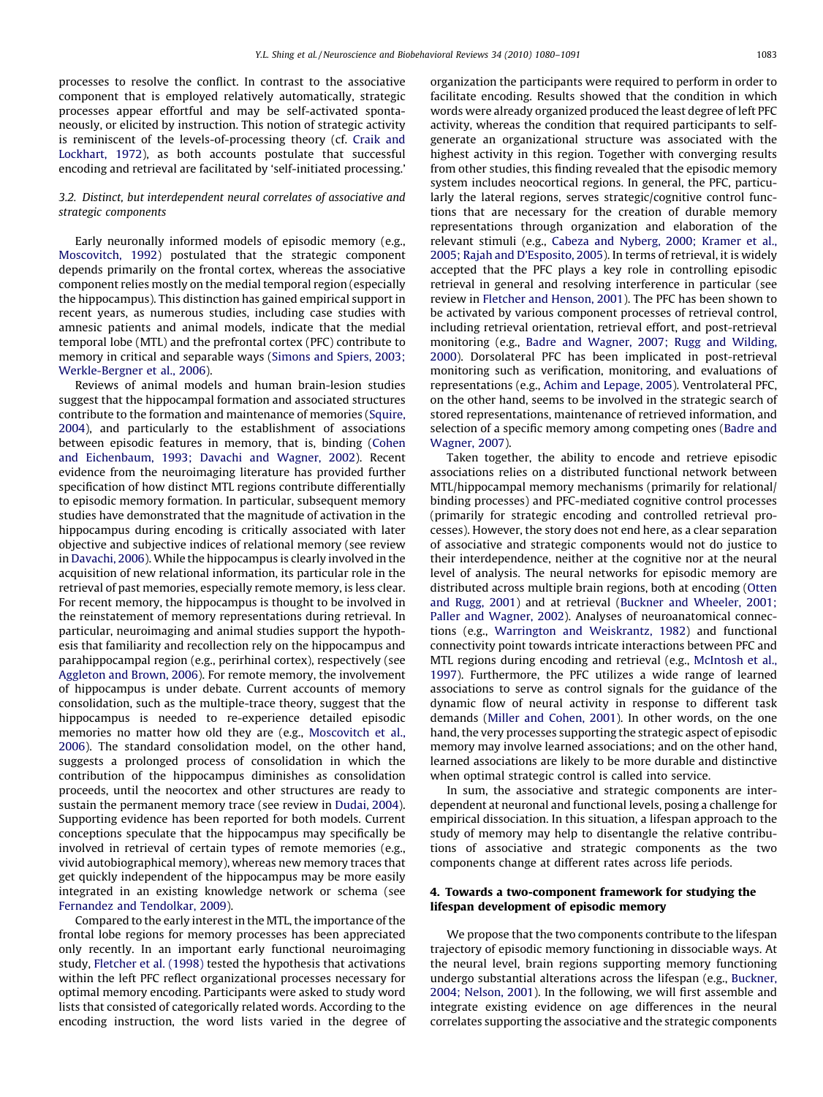processes to resolve the conflict. In contrast to the associative component that is employed relatively automatically, strategic processes appear effortful and may be self-activated spontaneously, or elicited by instruction. This notion of strategic activity is reminiscent of the levels-of-processing theory (cf. [Craik and](#page-9-0) [Lockhart, 1972\)](#page-9-0), as both accounts postulate that successful encoding and retrieval are facilitated by 'self-initiated processing.'

# 3.2. Distinct, but interdependent neural correlates of associative and strategic components

Early neuronally informed models of episodic memory (e.g., [Moscovitch, 1992\)](#page-10-0) postulated that the strategic component depends primarily on the frontal cortex, whereas the associative component relies mostly on the medial temporal region (especially the hippocampus). This distinction has gained empirical support in recent years, as numerous studies, including case studies with amnesic patients and animal models, indicate that the medial temporal lobe (MTL) and the prefrontal cortex (PFC) contribute to memory in critical and separable ways ([Simons and Spiers, 2003;](#page-10-0) [Werkle-Bergner et al., 2006\)](#page-10-0).

Reviews of animal models and human brain-lesion studies suggest that the hippocampal formation and associated structures contribute to the formation and maintenance of memories [\(Squire,](#page-10-0) [2004\)](#page-10-0), and particularly to the establishment of associations between episodic features in memory, that is, binding ([Cohen](#page-9-0) [and Eichenbaum, 1993; Davachi and Wagner, 2002](#page-9-0)). Recent evidence from the neuroimaging literature has provided further specification of how distinct MTL regions contribute differentially to episodic memory formation. In particular, subsequent memory studies have demonstrated that the magnitude of activation in the hippocampus during encoding is critically associated with later objective and subjective indices of relational memory (see review in [Davachi, 2006\)](#page-9-0). While the hippocampus is clearly involved in the acquisition of new relational information, its particular role in the retrieval of past memories, especially remote memory, is less clear. For recent memory, the hippocampus is thought to be involved in the reinstatement of memory representations during retrieval. In particular, neuroimaging and animal studies support the hypothesis that familiarity and recollection rely on the hippocampus and parahippocampal region (e.g., perirhinal cortex), respectively (see [Aggleton and Brown, 2006](#page-9-0)). For remote memory, the involvement of hippocampus is under debate. Current accounts of memory consolidation, such as the multiple-trace theory, suggest that the hippocampus is needed to re-experience detailed episodic memories no matter how old they are (e.g., [Moscovitch et al.,](#page-10-0) [2006\)](#page-10-0). The standard consolidation model, on the other hand, suggests a prolonged process of consolidation in which the contribution of the hippocampus diminishes as consolidation proceeds, until the neocortex and other structures are ready to sustain the permanent memory trace (see review in [Dudai, 2004\)](#page-9-0). Supporting evidence has been reported for both models. Current conceptions speculate that the hippocampus may specifically be involved in retrieval of certain types of remote memories (e.g., vivid autobiographical memory), whereas new memory traces that get quickly independent of the hippocampus may be more easily integrated in an existing knowledge network or schema (see [Fernandez and Tendolkar, 2009\)](#page-9-0).

Compared to the early interest in the MTL, the importance of the frontal lobe regions for memory processes has been appreciated only recently. In an important early functional neuroimaging study, [Fletcher et al. \(1998\)](#page-9-0) tested the hypothesis that activations within the left PFC reflect organizational processes necessary for optimal memory encoding. Participants were asked to study word lists that consisted of categorically related words. According to the encoding instruction, the word lists varied in the degree of organization the participants were required to perform in order to facilitate encoding. Results showed that the condition in which words were already organized produced the least degree of left PFC activity, whereas the condition that required participants to selfgenerate an organizational structure was associated with the highest activity in this region. Together with converging results from other studies, this finding revealed that the episodic memory system includes neocortical regions. In general, the PFC, particularly the lateral regions, serves strategic/cognitive control functions that are necessary for the creation of durable memory representations through organization and elaboration of the relevant stimuli (e.g., [Cabeza and Nyberg, 2000; Kramer et al.,](#page-9-0) [2005; Rajah and D'Esposito, 2005\)](#page-9-0). In terms of retrieval, it is widely accepted that the PFC plays a key role in controlling episodic retrieval in general and resolving interference in particular (see review in [Fletcher and Henson, 2001](#page-9-0)). The PFC has been shown to be activated by various component processes of retrieval control, including retrieval orientation, retrieval effort, and post-retrieval monitoring (e.g., [Badre and Wagner, 2007; Rugg and Wilding,](#page-9-0) [2000\)](#page-9-0). Dorsolateral PFC has been implicated in post-retrieval monitoring such as verification, monitoring, and evaluations of representations (e.g., [Achim and Lepage, 2005\)](#page-9-0). Ventrolateral PFC, on the other hand, seems to be involved in the strategic search of stored representations, maintenance of retrieved information, and selection of a specific memory among competing ones [\(Badre and](#page-9-0) [Wagner, 2007](#page-9-0)).

Taken together, the ability to encode and retrieve episodic associations relies on a distributed functional network between MTL/hippocampal memory mechanisms (primarily for relational/ binding processes) and PFC-mediated cognitive control processes (primarily for strategic encoding and controlled retrieval processes). However, the story does not end here, as a clear separation of associative and strategic components would not do justice to their interdependence, neither at the cognitive nor at the neural level of analysis. The neural networks for episodic memory are distributed across multiple brain regions, both at encoding [\(Otten](#page-10-0) [and Rugg, 2001\)](#page-10-0) and at retrieval [\(Buckner and Wheeler, 2001;](#page-9-0) [Paller and Wagner, 2002](#page-9-0)). Analyses of neuroanatomical connections (e.g., [Warrington and Weiskrantz, 1982\)](#page-10-0) and functional connectivity point towards intricate interactions between PFC and MTL regions during encoding and retrieval (e.g., [McIntosh et al.,](#page-10-0) [1997\)](#page-10-0). Furthermore, the PFC utilizes a wide range of learned associations to serve as control signals for the guidance of the dynamic flow of neural activity in response to different task demands [\(Miller and Cohen, 2001](#page-10-0)). In other words, on the one hand, the very processes supporting the strategic aspect of episodic memory may involve learned associations; and on the other hand, learned associations are likely to be more durable and distinctive when optimal strategic control is called into service.

In sum, the associative and strategic components are interdependent at neuronal and functional levels, posing a challenge for empirical dissociation. In this situation, a lifespan approach to the study of memory may help to disentangle the relative contributions of associative and strategic components as the two components change at different rates across life periods.

# 4. Towards a two-component framework for studying the lifespan development of episodic memory

We propose that the two components contribute to the lifespan trajectory of episodic memory functioning in dissociable ways. At the neural level, brain regions supporting memory functioning undergo substantial alterations across the lifespan (e.g., [Buckner,](#page-9-0) [2004; Nelson, 2001](#page-9-0)). In the following, we will first assemble and integrate existing evidence on age differences in the neural correlates supporting the associative and the strategic components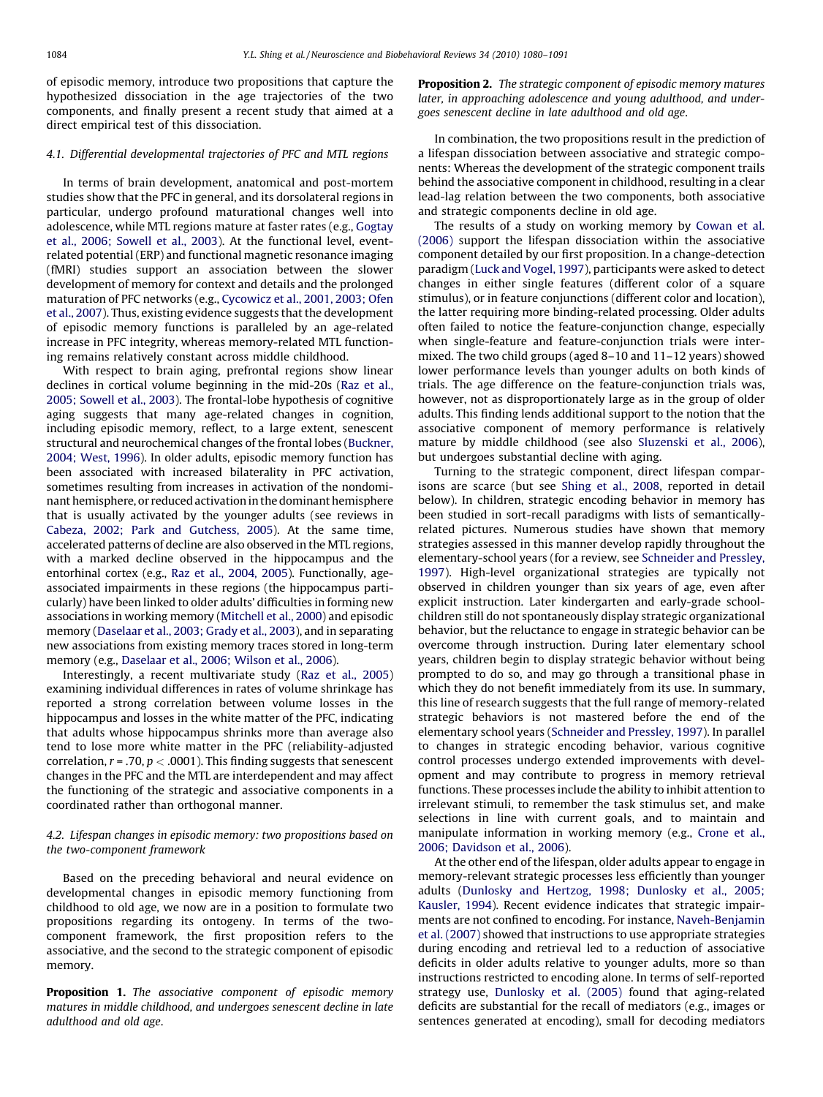of episodic memory, introduce two propositions that capture the hypothesized dissociation in the age trajectories of the two components, and finally present a recent study that aimed at a direct empirical test of this dissociation.

#### 4.1. Differential developmental trajectories of PFC and MTL regions

In terms of brain development, anatomical and post-mortem studies show that the PFC in general, and its dorsolateral regions in particular, undergo profound maturational changes well into adolescence, while MTL regions mature at faster rates (e.g., [Gogtay](#page-9-0) [et al., 2006; Sowell et al., 2003\)](#page-9-0). At the functional level, eventrelated potential (ERP) and functional magnetic resonance imaging (fMRI) studies support an association between the slower development of memory for context and details and the prolonged maturation of PFC networks (e.g., [Cycowicz et al., 2001, 2003; Ofen](#page-9-0) [et al., 2007](#page-9-0)). Thus, existing evidence suggests that the development of episodic memory functions is paralleled by an age-related increase in PFC integrity, whereas memory-related MTL functioning remains relatively constant across middle childhood.

With respect to brain aging, prefrontal regions show linear declines in cortical volume beginning in the mid-20s ([Raz et al.,](#page-10-0) [2005; Sowell et al., 2003\)](#page-10-0). The frontal-lobe hypothesis of cognitive aging suggests that many age-related changes in cognition, including episodic memory, reflect, to a large extent, senescent structural and neurochemical changes of the frontal lobes [\(Buckner,](#page-9-0) [2004; West, 1996](#page-9-0)). In older adults, episodic memory function has been associated with increased bilaterality in PFC activation, sometimes resulting from increases in activation of the nondominant hemisphere, or reduced activation in the dominant hemisphere that is usually activated by the younger adults (see reviews in [Cabeza, 2002; Park and Gutchess, 2005\)](#page-9-0). At the same time, accelerated patterns of decline are also observed in the MTL regions, with a marked decline observed in the hippocampus and the entorhinal cortex (e.g., [Raz et al., 2004, 2005](#page-10-0)). Functionally, ageassociated impairments in these regions (the hippocampus particularly) have been linked to older adults' difficulties in forming new associations in working memory ([Mitchell et al., 2000](#page-10-0)) and episodic memory [\(Daselaar et al., 2003; Grady et al., 2003\)](#page-9-0), and in separating new associations from existing memory traces stored in long-term memory (e.g., [Daselaar et al., 2006; Wilson et al., 2006](#page-9-0)).

Interestingly, a recent multivariate study ([Raz et al., 2005\)](#page-10-0) examining individual differences in rates of volume shrinkage has reported a strong correlation between volume losses in the hippocampus and losses in the white matter of the PFC, indicating that adults whose hippocampus shrinks more than average also tend to lose more white matter in the PFC (reliability-adjusted correlation,  $r = .70$ ,  $p < .0001$ ). This finding suggests that senescent changes in the PFC and the MTL are interdependent and may affect the functioning of the strategic and associative components in a coordinated rather than orthogonal manner.

### 4.2. Lifespan changes in episodic memory: two propositions based on the two-component framework

Based on the preceding behavioral and neural evidence on developmental changes in episodic memory functioning from childhood to old age, we now are in a position to formulate two propositions regarding its ontogeny. In terms of the twocomponent framework, the first proposition refers to the associative, and the second to the strategic component of episodic memory.

Proposition 1. The associative component of episodic memory matures in middle childhood, and undergoes senescent decline in late adulthood and old age.

Proposition 2. The strategic component of episodic memory matures later, in approaching adolescence and young adulthood, and undergoes senescent decline in late adulthood and old age.

In combination, the two propositions result in the prediction of a lifespan dissociation between associative and strategic components: Whereas the development of the strategic component trails behind the associative component in childhood, resulting in a clear lead-lag relation between the two components, both associative and strategic components decline in old age.

The results of a study on working memory by [Cowan et al.](#page-9-0) [\(2006\)](#page-9-0) support the lifespan dissociation within the associative component detailed by our first proposition. In a change-detection paradigm ([Luck and Vogel, 1997](#page-10-0)), participants were asked to detect changes in either single features (different color of a square stimulus), or in feature conjunctions (different color and location), the latter requiring more binding-related processing. Older adults often failed to notice the feature-conjunction change, especially when single-feature and feature-conjunction trials were intermixed. The two child groups (aged 8–10 and 11–12 years) showed lower performance levels than younger adults on both kinds of trials. The age difference on the feature-conjunction trials was, however, not as disproportionately large as in the group of older adults. This finding lends additional support to the notion that the associative component of memory performance is relatively mature by middle childhood (see also [Sluzenski et al., 2006\)](#page-10-0), but undergoes substantial decline with aging.

Turning to the strategic component, direct lifespan comparisons are scarce (but see [Shing et al., 2008,](#page-10-0) reported in detail below). In children, strategic encoding behavior in memory has been studied in sort-recall paradigms with lists of semanticallyrelated pictures. Numerous studies have shown that memory strategies assessed in this manner develop rapidly throughout the elementary-school years (for a review, see [Schneider and Pressley,](#page-10-0) [1997](#page-10-0)). High-level organizational strategies are typically not observed in children younger than six years of age, even after explicit instruction. Later kindergarten and early-grade schoolchildren still do not spontaneously display strategic organizational behavior, but the reluctance to engage in strategic behavior can be overcome through instruction. During later elementary school years, children begin to display strategic behavior without being prompted to do so, and may go through a transitional phase in which they do not benefit immediately from its use. In summary, this line of research suggests that the full range of memory-related strategic behaviors is not mastered before the end of the elementary school years [\(Schneider and Pressley, 1997\)](#page-10-0). In parallel to changes in strategic encoding behavior, various cognitive control processes undergo extended improvements with development and may contribute to progress in memory retrieval functions. These processes include the ability to inhibit attention to irrelevant stimuli, to remember the task stimulus set, and make selections in line with current goals, and to maintain and manipulate information in working memory (e.g., [Crone et al.,](#page-9-0) [2006; Davidson et al., 2006\)](#page-9-0).

At the other end of the lifespan, older adults appear to engage in memory-relevant strategic processes less efficiently than younger adults ([Dunlosky and Hertzog, 1998; Dunlosky et al., 2005;](#page-9-0) [Kausler, 1994](#page-9-0)). Recent evidence indicates that strategic impairments are not confined to encoding. For instance, [Naveh-Benjamin](#page-10-0) [et al. \(2007\)](#page-10-0) showed that instructions to use appropriate strategies during encoding and retrieval led to a reduction of associative deficits in older adults relative to younger adults, more so than instructions restricted to encoding alone. In terms of self-reported strategy use, [Dunlosky et al. \(2005\)](#page-9-0) found that aging-related deficits are substantial for the recall of mediators (e.g., images or sentences generated at encoding), small for decoding mediators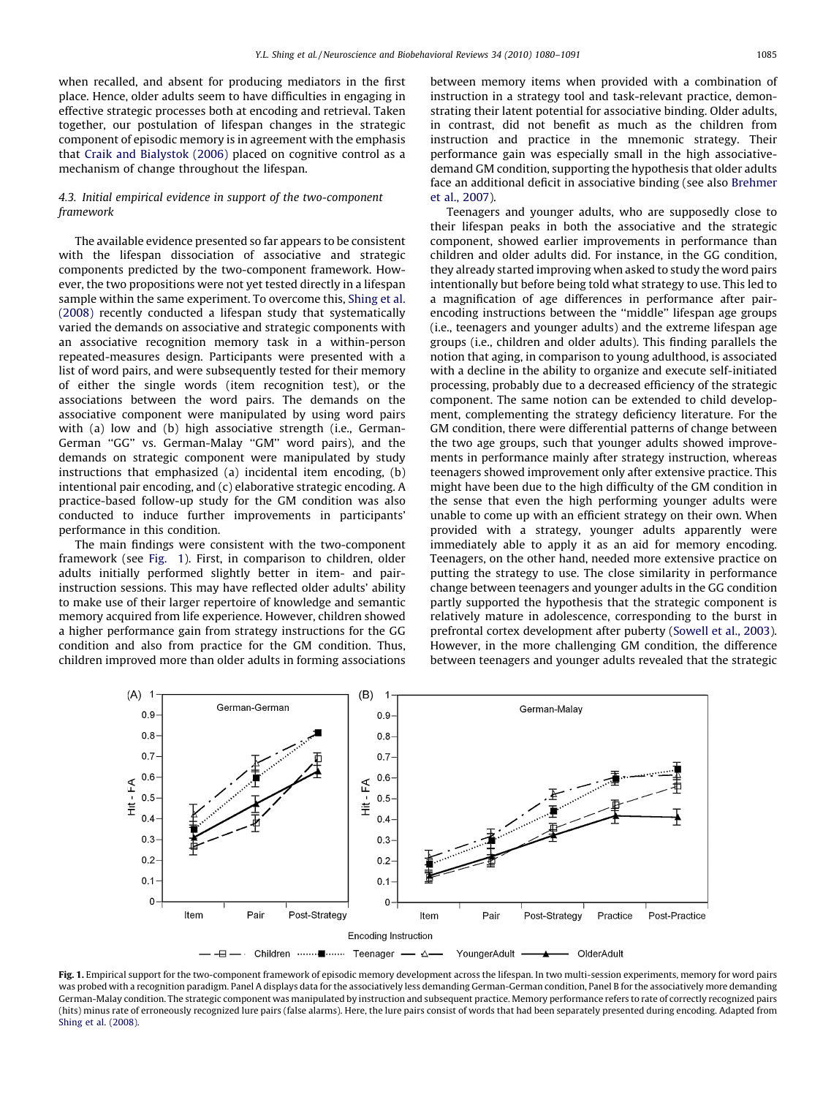when recalled, and absent for producing mediators in the first place. Hence, older adults seem to have difficulties in engaging in effective strategic processes both at encoding and retrieval. Taken together, our postulation of lifespan changes in the strategic component of episodic memory is in agreement with the emphasis that [Craik and Bialystok \(2006\)](#page-9-0) placed on cognitive control as a mechanism of change throughout the lifespan.

# 4.3. Initial empirical evidence in support of the two-component framework

The available evidence presented so far appears to be consistent with the lifespan dissociation of associative and strategic components predicted by the two-component framework. However, the two propositions were not yet tested directly in a lifespan sample within the same experiment. To overcome this, [Shing et al.](#page-10-0) [\(2008\)](#page-10-0) recently conducted a lifespan study that systematically varied the demands on associative and strategic components with an associative recognition memory task in a within-person repeated-measures design. Participants were presented with a list of word pairs, and were subsequently tested for their memory of either the single words (item recognition test), or the associations between the word pairs. The demands on the associative component were manipulated by using word pairs with (a) low and (b) high associative strength (i.e., German-German ''GG'' vs. German-Malay ''GM'' word pairs), and the demands on strategic component were manipulated by study instructions that emphasized (a) incidental item encoding, (b) intentional pair encoding, and (c) elaborative strategic encoding. A practice-based follow-up study for the GM condition was also conducted to induce further improvements in participants' performance in this condition.

The main findings were consistent with the two-component framework (see Fig. 1). First, in comparison to children, older adults initially performed slightly better in item- and pairinstruction sessions. This may have reflected older adults' ability to make use of their larger repertoire of knowledge and semantic memory acquired from life experience. However, children showed a higher performance gain from strategy instructions for the GG condition and also from practice for the GM condition. Thus, children improved more than older adults in forming associations between memory items when provided with a combination of instruction in a strategy tool and task-relevant practice, demonstrating their latent potential for associative binding. Older adults, in contrast, did not benefit as much as the children from instruction and practice in the mnemonic strategy. Their performance gain was especially small in the high associativedemand GM condition, supporting the hypothesis that older adults face an additional deficit in associative binding (see also [Brehmer](#page-9-0) [et al., 2007](#page-9-0)).

Teenagers and younger adults, who are supposedly close to their lifespan peaks in both the associative and the strategic component, showed earlier improvements in performance than children and older adults did. For instance, in the GG condition, they already started improving when asked to study the word pairs intentionally but before being told what strategy to use. This led to a magnification of age differences in performance after pairencoding instructions between the ''middle'' lifespan age groups (i.e., teenagers and younger adults) and the extreme lifespan age groups (i.e., children and older adults). This finding parallels the notion that aging, in comparison to young adulthood, is associated with a decline in the ability to organize and execute self-initiated processing, probably due to a decreased efficiency of the strategic component. The same notion can be extended to child development, complementing the strategy deficiency literature. For the GM condition, there were differential patterns of change between the two age groups, such that younger adults showed improvements in performance mainly after strategy instruction, whereas teenagers showed improvement only after extensive practice. This might have been due to the high difficulty of the GM condition in the sense that even the high performing younger adults were unable to come up with an efficient strategy on their own. When provided with a strategy, younger adults apparently were immediately able to apply it as an aid for memory encoding. Teenagers, on the other hand, needed more extensive practice on putting the strategy to use. The close similarity in performance change between teenagers and younger adults in the GG condition partly supported the hypothesis that the strategic component is relatively mature in adolescence, corresponding to the burst in prefrontal cortex development after puberty ([Sowell et al., 2003\)](#page-10-0). However, in the more challenging GM condition, the difference between teenagers and younger adults revealed that the strategic



Fig. 1. Empirical support for the two-component framework of episodic memory development across the lifespan. In two multi-session experiments, memory for word pairs was probed with a recognition paradigm. Panel A displays data for the associatively less demanding German-German condition, Panel B for the associatively more demanding German-Malay condition. The strategic component was manipulated by instruction and subsequent practice. Memory performance refers to rate of correctly recognized pairs (hits) minus rate of erroneously recognized lure pairs (false alarms). Here, the lure pairs consist of words that had been separately presented during encoding. Adapted from [Shing et al. \(2008\)](#page-10-0).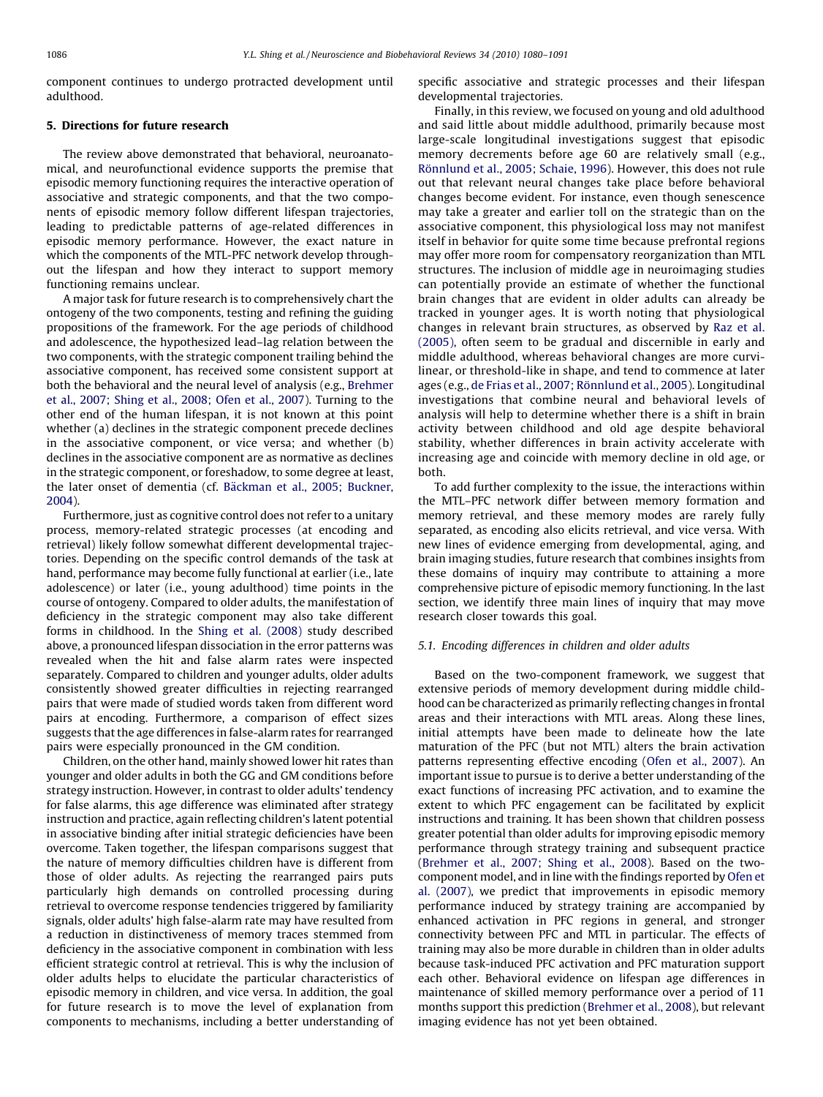component continues to undergo protracted development until adulthood.

# 5. Directions for future research

The review above demonstrated that behavioral, neuroanatomical, and neurofunctional evidence supports the premise that episodic memory functioning requires the interactive operation of associative and strategic components, and that the two components of episodic memory follow different lifespan trajectories, leading to predictable patterns of age-related differences in episodic memory performance. However, the exact nature in which the components of the MTL-PFC network develop throughout the lifespan and how they interact to support memory functioning remains unclear.

A major task for future research is to comprehensively chart the ontogeny of the two components, testing and refining the guiding propositions of the framework. For the age periods of childhood and adolescence, the hypothesized lead–lag relation between the two components, with the strategic component trailing behind the associative component, has received some consistent support at both the behavioral and the neural level of analysis (e.g., [Brehmer](#page-9-0) [et al., 2007; Shing et al., 2008; Ofen et al., 2007\)](#page-9-0). Turning to the other end of the human lifespan, it is not known at this point whether (a) declines in the strategic component precede declines in the associative component, or vice versa; and whether (b) declines in the associative component are as normative as declines in the strategic component, or foreshadow, to some degree at least, the later onset of dementia (cf. Bäckman et al., 2005; Buckner, [2004\)](#page-9-0).

Furthermore, just as cognitive control does not refer to a unitary process, memory-related strategic processes (at encoding and retrieval) likely follow somewhat different developmental trajectories. Depending on the specific control demands of the task at hand, performance may become fully functional at earlier (i.e., late adolescence) or later (i.e., young adulthood) time points in the course of ontogeny. Compared to older adults, the manifestation of deficiency in the strategic component may also take different forms in childhood. In the [Shing et al. \(2008\)](#page-10-0) study described above, a pronounced lifespan dissociation in the error patterns was revealed when the hit and false alarm rates were inspected separately. Compared to children and younger adults, older adults consistently showed greater difficulties in rejecting rearranged pairs that were made of studied words taken from different word pairs at encoding. Furthermore, a comparison of effect sizes suggests that the age differences in false-alarm rates for rearranged pairs were especially pronounced in the GM condition.

Children, on the other hand, mainly showed lower hit rates than younger and older adults in both the GG and GM conditions before strategy instruction. However, in contrast to older adults' tendency for false alarms, this age difference was eliminated after strategy instruction and practice, again reflecting children's latent potential in associative binding after initial strategic deficiencies have been overcome. Taken together, the lifespan comparisons suggest that the nature of memory difficulties children have is different from those of older adults. As rejecting the rearranged pairs puts particularly high demands on controlled processing during retrieval to overcome response tendencies triggered by familiarity signals, older adults' high false-alarm rate may have resulted from a reduction in distinctiveness of memory traces stemmed from deficiency in the associative component in combination with less efficient strategic control at retrieval. This is why the inclusion of older adults helps to elucidate the particular characteristics of episodic memory in children, and vice versa. In addition, the goal for future research is to move the level of explanation from components to mechanisms, including a better understanding of specific associative and strategic processes and their lifespan developmental trajectories.

Finally, in this review, we focused on young and old adulthood and said little about middle adulthood, primarily because most large-scale longitudinal investigations suggest that episodic memory decrements before age 60 are relatively small (e.g., Rönnlund et al., 2005; Schaie, 1996). However, this does not rule out that relevant neural changes take place before behavioral changes become evident. For instance, even though senescence may take a greater and earlier toll on the strategic than on the associative component, this physiological loss may not manifest itself in behavior for quite some time because prefrontal regions may offer more room for compensatory reorganization than MTL structures. The inclusion of middle age in neuroimaging studies can potentially provide an estimate of whether the functional brain changes that are evident in older adults can already be tracked in younger ages. It is worth noting that physiological changes in relevant brain structures, as observed by [Raz et al.](#page-10-0) [\(2005\),](#page-10-0) often seem to be gradual and discernible in early and middle adulthood, whereas behavioral changes are more curvilinear, or threshold-like in shape, and tend to commence at later ages (e.g., de Frias et al., 2007; Rönnlund et al., 2005). Longitudinal investigations that combine neural and behavioral levels of analysis will help to determine whether there is a shift in brain activity between childhood and old age despite behavioral stability, whether differences in brain activity accelerate with increasing age and coincide with memory decline in old age, or both.

To add further complexity to the issue, the interactions within the MTL–PFC network differ between memory formation and memory retrieval, and these memory modes are rarely fully separated, as encoding also elicits retrieval, and vice versa. With new lines of evidence emerging from developmental, aging, and brain imaging studies, future research that combines insights from these domains of inquiry may contribute to attaining a more comprehensive picture of episodic memory functioning. In the last section, we identify three main lines of inquiry that may move research closer towards this goal.

#### 5.1. Encoding differences in children and older adults

Based on the two-component framework, we suggest that extensive periods of memory development during middle childhood can be characterized as primarily reflecting changes in frontal areas and their interactions with MTL areas. Along these lines, initial attempts have been made to delineate how the late maturation of the PFC (but not MTL) alters the brain activation patterns representing effective encoding [\(Ofen et al., 2007\)](#page-10-0). An important issue to pursue is to derive a better understanding of the exact functions of increasing PFC activation, and to examine the extent to which PFC engagement can be facilitated by explicit instructions and training. It has been shown that children possess greater potential than older adults for improving episodic memory performance through strategy training and subsequent practice ([Brehmer et al., 2007; Shing et al., 2008\)](#page-9-0). Based on the twocomponent model, and in line with the findings reported by [Ofen et](#page-10-0) [al. \(2007\)](#page-10-0), we predict that improvements in episodic memory performance induced by strategy training are accompanied by enhanced activation in PFC regions in general, and stronger connectivity between PFC and MTL in particular. The effects of training may also be more durable in children than in older adults because task-induced PFC activation and PFC maturation support each other. Behavioral evidence on lifespan age differences in maintenance of skilled memory performance over a period of 11 months support this prediction [\(Brehmer et al., 2008\)](#page-9-0), but relevant imaging evidence has not yet been obtained.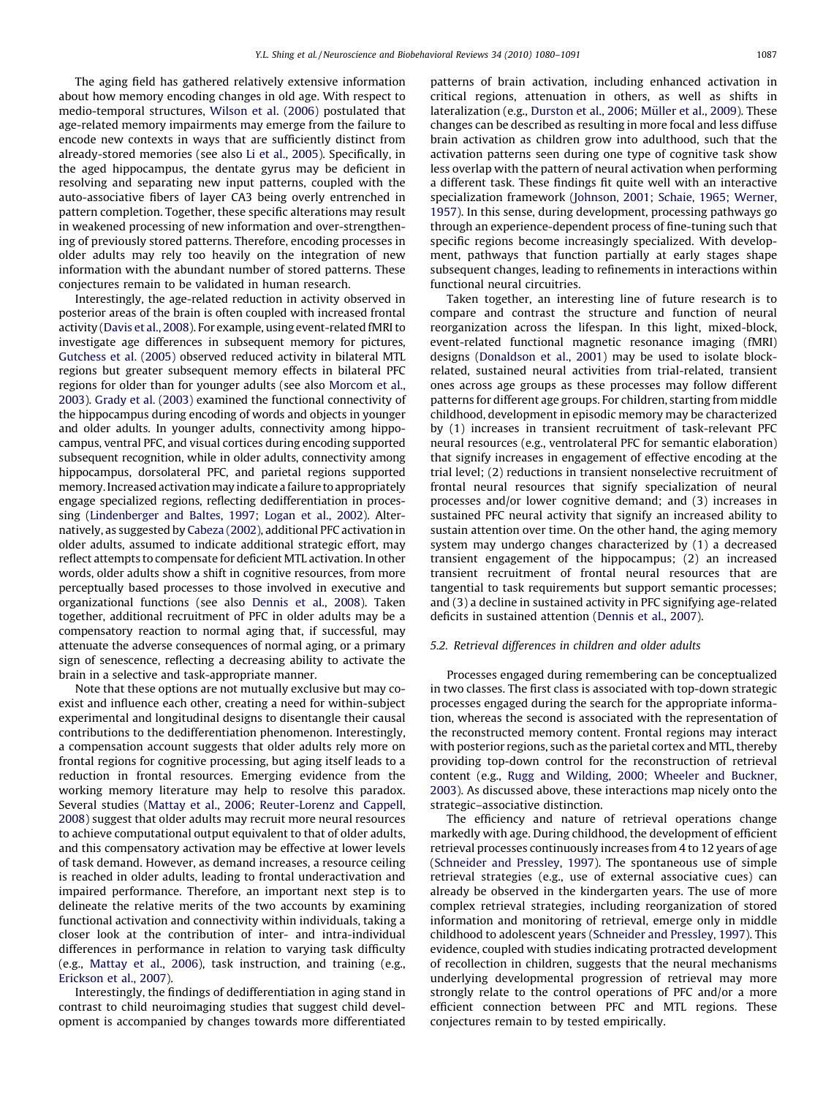The aging field has gathered relatively extensive information about how memory encoding changes in old age. With respect to medio-temporal structures, [Wilson et al. \(2006\)](#page-11-0) postulated that age-related memory impairments may emerge from the failure to encode new contexts in ways that are sufficiently distinct from already-stored memories (see also [Li et al., 2005\)](#page-10-0). Specifically, in the aged hippocampus, the dentate gyrus may be deficient in resolving and separating new input patterns, coupled with the auto-associative fibers of layer CA3 being overly entrenched in pattern completion. Together, these specific alterations may result in weakened processing of new information and over-strengthening of previously stored patterns. Therefore, encoding processes in older adults may rely too heavily on the integration of new information with the abundant number of stored patterns. These conjectures remain to be validated in human research.

Interestingly, the age-related reduction in activity observed in posterior areas of the brain is often coupled with increased frontal activity [\(Davis et al., 2008\)](#page-9-0). For example, using event-related fMRI to investigate age differences in subsequent memory for pictures, [Gutchess et al. \(2005\)](#page-9-0) observed reduced activity in bilateral MTL regions but greater subsequent memory effects in bilateral PFC regions for older than for younger adults (see also [Morcom et al.,](#page-10-0) [2003](#page-10-0)). [Grady et al. \(2003\)](#page-9-0) examined the functional connectivity of the hippocampus during encoding of words and objects in younger and older adults. In younger adults, connectivity among hippocampus, ventral PFC, and visual cortices during encoding supported subsequent recognition, while in older adults, connectivity among hippocampus, dorsolateral PFC, and parietal regions supported memory. Increased activation may indicate a failure to appropriately engage specialized regions, reflecting dedifferentiation in processing [\(Lindenberger and Baltes, 1997; Logan et al., 2002\)](#page-10-0). Alternatively, as suggested by [Cabeza \(2002\),](#page-9-0) additional PFC activation in older adults, assumed to indicate additional strategic effort, may reflect attempts to compensate for deficient MTL activation. In other words, older adults show a shift in cognitive resources, from more perceptually based processes to those involved in executive and organizational functions (see also [Dennis et al., 2008\)](#page-9-0). Taken together, additional recruitment of PFC in older adults may be a compensatory reaction to normal aging that, if successful, may attenuate the adverse consequences of normal aging, or a primary sign of senescence, reflecting a decreasing ability to activate the brain in a selective and task-appropriate manner.

Note that these options are not mutually exclusive but may coexist and influence each other, creating a need for within-subject experimental and longitudinal designs to disentangle their causal contributions to the dedifferentiation phenomenon. Interestingly, a compensation account suggests that older adults rely more on frontal regions for cognitive processing, but aging itself leads to a reduction in frontal resources. Emerging evidence from the working memory literature may help to resolve this paradox. Several studies [\(Mattay et al., 2006; Reuter-Lorenz and Cappell,](#page-10-0) [2008\)](#page-10-0) suggest that older adults may recruit more neural resources to achieve computational output equivalent to that of older adults, and this compensatory activation may be effective at lower levels of task demand. However, as demand increases, a resource ceiling is reached in older adults, leading to frontal underactivation and impaired performance. Therefore, an important next step is to delineate the relative merits of the two accounts by examining functional activation and connectivity within individuals, taking a closer look at the contribution of inter- and intra-individual differences in performance in relation to varying task difficulty (e.g., [Mattay et al., 2006](#page-10-0)), task instruction, and training (e.g., [Erickson et al., 2007](#page-9-0)).

Interestingly, the findings of dedifferentiation in aging stand in contrast to child neuroimaging studies that suggest child development is accompanied by changes towards more differentiated patterns of brain activation, including enhanced activation in critical regions, attenuation in others, as well as shifts in lateralization (e.g., Durston et al., 2006; Müller et al., 2009). These changes can be described as resulting in more focal and less diffuse brain activation as children grow into adulthood, such that the activation patterns seen during one type of cognitive task show less overlap with the pattern of neural activation when performing a different task. These findings fit quite well with an interactive specialization framework ([Johnson, 2001; Schaie, 1965; Werner,](#page-10-0) [1957\)](#page-10-0). In this sense, during development, processing pathways go through an experience-dependent process of fine-tuning such that specific regions become increasingly specialized. With development, pathways that function partially at early stages shape subsequent changes, leading to refinements in interactions within functional neural circuitries.

Taken together, an interesting line of future research is to compare and contrast the structure and function of neural reorganization across the lifespan. In this light, mixed-block, event-related functional magnetic resonance imaging (fMRI) designs [\(Donaldson et al., 2001](#page-9-0)) may be used to isolate blockrelated, sustained neural activities from trial-related, transient ones across age groups as these processes may follow different patterns for different age groups. For children, starting from middle childhood, development in episodic memory may be characterized by (1) increases in transient recruitment of task-relevant PFC neural resources (e.g., ventrolateral PFC for semantic elaboration) that signify increases in engagement of effective encoding at the trial level; (2) reductions in transient nonselective recruitment of frontal neural resources that signify specialization of neural processes and/or lower cognitive demand; and (3) increases in sustained PFC neural activity that signify an increased ability to sustain attention over time. On the other hand, the aging memory system may undergo changes characterized by (1) a decreased transient engagement of the hippocampus; (2) an increased transient recruitment of frontal neural resources that are tangential to task requirements but support semantic processes; and (3) a decline in sustained activity in PFC signifying age-related deficits in sustained attention ([Dennis et al., 2007\)](#page-9-0).

#### 5.2. Retrieval differences in children and older adults

Processes engaged during remembering can be conceptualized in two classes. The first class is associated with top-down strategic processes engaged during the search for the appropriate information, whereas the second is associated with the representation of the reconstructed memory content. Frontal regions may interact with posterior regions, such as the parietal cortex and MTL, thereby providing top-down control for the reconstruction of retrieval content (e.g., [Rugg and Wilding, 2000; Wheeler and Buckner,](#page-10-0) [2003\)](#page-10-0). As discussed above, these interactions map nicely onto the strategic–associative distinction.

The efficiency and nature of retrieval operations change markedly with age. During childhood, the development of efficient retrieval processes continuously increases from 4 to 12 years of age ([Schneider and Pressley, 1997](#page-10-0)). The spontaneous use of simple retrieval strategies (e.g., use of external associative cues) can already be observed in the kindergarten years. The use of more complex retrieval strategies, including reorganization of stored information and monitoring of retrieval, emerge only in middle childhood to adolescent years ([Schneider and Pressley, 1997\)](#page-10-0). This evidence, coupled with studies indicating protracted development of recollection in children, suggests that the neural mechanisms underlying developmental progression of retrieval may more strongly relate to the control operations of PFC and/or a more efficient connection between PFC and MTL regions. These conjectures remain to by tested empirically.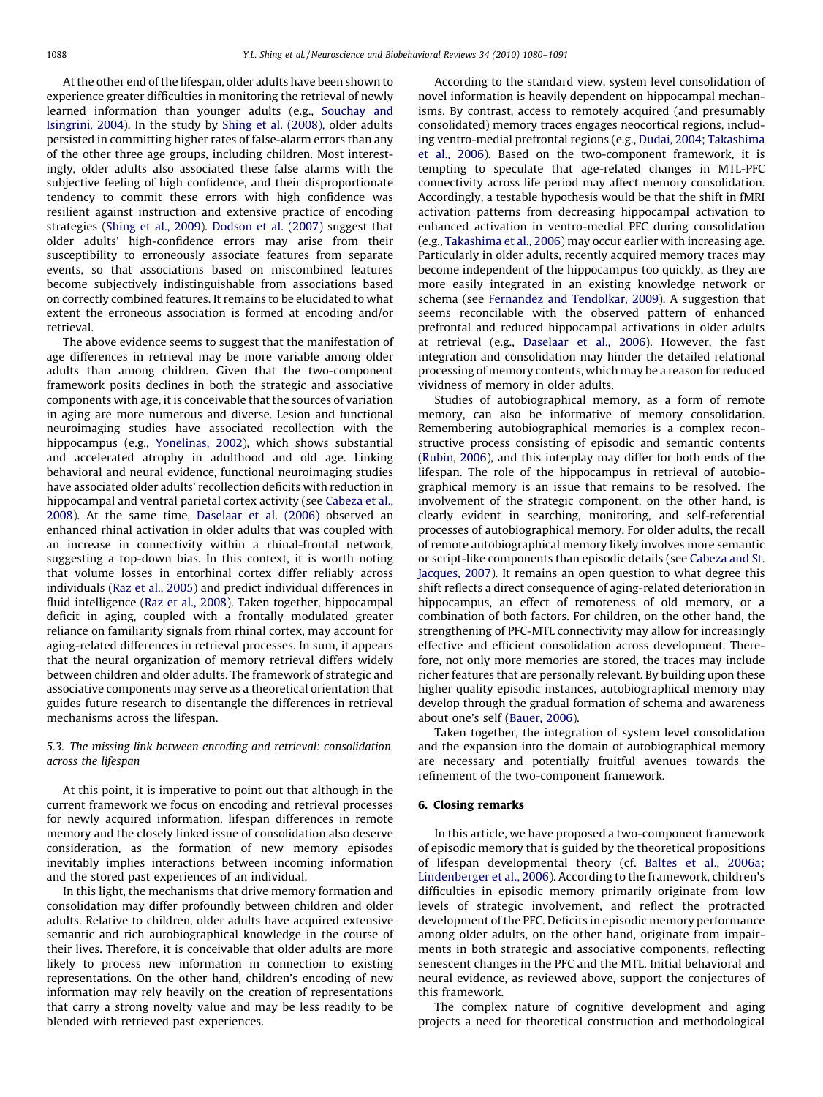At the other end of the lifespan, older adults have been shown to experience greater difficulties in monitoring the retrieval of newly learned information than younger adults (e.g., [Souchay and](#page-10-0) [Isingrini, 2004\)](#page-10-0). In the study by [Shing et al. \(2008\)](#page-10-0), older adults persisted in committing higher rates of false-alarm errors than any of the other three age groups, including children. Most interestingly, older adults also associated these false alarms with the subjective feeling of high confidence, and their disproportionate tendency to commit these errors with high confidence was resilient against instruction and extensive practice of encoding strategies ([Shing et al., 2009](#page-10-0)). [Dodson et al. \(2007\)](#page-9-0) suggest that older adults' high-confidence errors may arise from their susceptibility to erroneously associate features from separate events, so that associations based on miscombined features become subjectively indistinguishable from associations based on correctly combined features. It remains to be elucidated to what extent the erroneous association is formed at encoding and/or retrieval.

The above evidence seems to suggest that the manifestation of age differences in retrieval may be more variable among older adults than among children. Given that the two-component framework posits declines in both the strategic and associative components with age, it is conceivable that the sources of variation in aging are more numerous and diverse. Lesion and functional neuroimaging studies have associated recollection with the hippocampus (e.g., [Yonelinas, 2002\)](#page-11-0), which shows substantial and accelerated atrophy in adulthood and old age. Linking behavioral and neural evidence, functional neuroimaging studies have associated older adults' recollection deficits with reduction in hippocampal and ventral parietal cortex activity (see [Cabeza et al.,](#page-9-0) [2008\)](#page-9-0). At the same time, [Daselaar et al. \(2006\)](#page-9-0) observed an enhanced rhinal activation in older adults that was coupled with an increase in connectivity within a rhinal-frontal network, suggesting a top-down bias. In this context, it is worth noting that volume losses in entorhinal cortex differ reliably across individuals ([Raz et al., 2005\)](#page-10-0) and predict individual differences in fluid intelligence ([Raz et al., 2008](#page-10-0)). Taken together, hippocampal deficit in aging, coupled with a frontally modulated greater reliance on familiarity signals from rhinal cortex, may account for aging-related differences in retrieval processes. In sum, it appears that the neural organization of memory retrieval differs widely between children and older adults. The framework of strategic and associative components may serve as a theoretical orientation that guides future research to disentangle the differences in retrieval mechanisms across the lifespan.

# 5.3. The missing link between encoding and retrieval: consolidation across the lifespan

At this point, it is imperative to point out that although in the current framework we focus on encoding and retrieval processes for newly acquired information, lifespan differences in remote memory and the closely linked issue of consolidation also deserve consideration, as the formation of new memory episodes inevitably implies interactions between incoming information and the stored past experiences of an individual.

In this light, the mechanisms that drive memory formation and consolidation may differ profoundly between children and older adults. Relative to children, older adults have acquired extensive semantic and rich autobiographical knowledge in the course of their lives. Therefore, it is conceivable that older adults are more likely to process new information in connection to existing representations. On the other hand, children's encoding of new information may rely heavily on the creation of representations that carry a strong novelty value and may be less readily to be blended with retrieved past experiences.

According to the standard view, system level consolidation of novel information is heavily dependent on hippocampal mechanisms. By contrast, access to remotely acquired (and presumably consolidated) memory traces engages neocortical regions, including ventro-medial prefrontal regions (e.g., [Dudai, 2004; Takashima](#page-9-0) [et al., 2006](#page-9-0)). Based on the two-component framework, it is tempting to speculate that age-related changes in MTL-PFC connectivity across life period may affect memory consolidation. Accordingly, a testable hypothesis would be that the shift in fMRI activation patterns from decreasing hippocampal activation to enhanced activation in ventro-medial PFC during consolidation (e.g., [Takashima et al., 2006\)](#page-10-0) may occur earlier with increasing age. Particularly in older adults, recently acquired memory traces may become independent of the hippocampus too quickly, as they are more easily integrated in an existing knowledge network or schema (see [Fernandez and Tendolkar, 2009\)](#page-9-0). A suggestion that seems reconcilable with the observed pattern of enhanced prefrontal and reduced hippocampal activations in older adults at retrieval (e.g., [Daselaar et al., 2006](#page-9-0)). However, the fast integration and consolidation may hinder the detailed relational processing of memory contents, which may be a reason for reduced vividness of memory in older adults.

Studies of autobiographical memory, as a form of remote memory, can also be informative of memory consolidation. Remembering autobiographical memories is a complex reconstructive process consisting of episodic and semantic contents ([Rubin, 2006](#page-10-0)), and this interplay may differ for both ends of the lifespan. The role of the hippocampus in retrieval of autobiographical memory is an issue that remains to be resolved. The involvement of the strategic component, on the other hand, is clearly evident in searching, monitoring, and self-referential processes of autobiographical memory. For older adults, the recall of remote autobiographical memory likely involves more semantic or script-like components than episodic details (see [Cabeza and St.](#page-9-0) [Jacques, 2007\)](#page-9-0). It remains an open question to what degree this shift reflects a direct consequence of aging-related deterioration in hippocampus, an effect of remoteness of old memory, or a combination of both factors. For children, on the other hand, the strengthening of PFC-MTL connectivity may allow for increasingly effective and efficient consolidation across development. Therefore, not only more memories are stored, the traces may include richer features that are personally relevant. By building upon these higher quality episodic instances, autobiographical memory may develop through the gradual formation of schema and awareness about one's self ([Bauer, 2006\)](#page-9-0).

Taken together, the integration of system level consolidation and the expansion into the domain of autobiographical memory are necessary and potentially fruitful avenues towards the refinement of the two-component framework.

# 6. Closing remarks

In this article, we have proposed a two-component framework of episodic memory that is guided by the theoretical propositions of lifespan developmental theory (cf. [Baltes et al., 2006a;](#page-9-0) [Lindenberger et al., 2006\)](#page-9-0). According to the framework, children's difficulties in episodic memory primarily originate from low levels of strategic involvement, and reflect the protracted development of the PFC. Deficits in episodic memory performance among older adults, on the other hand, originate from impairments in both strategic and associative components, reflecting senescent changes in the PFC and the MTL. Initial behavioral and neural evidence, as reviewed above, support the conjectures of this framework.

The complex nature of cognitive development and aging projects a need for theoretical construction and methodological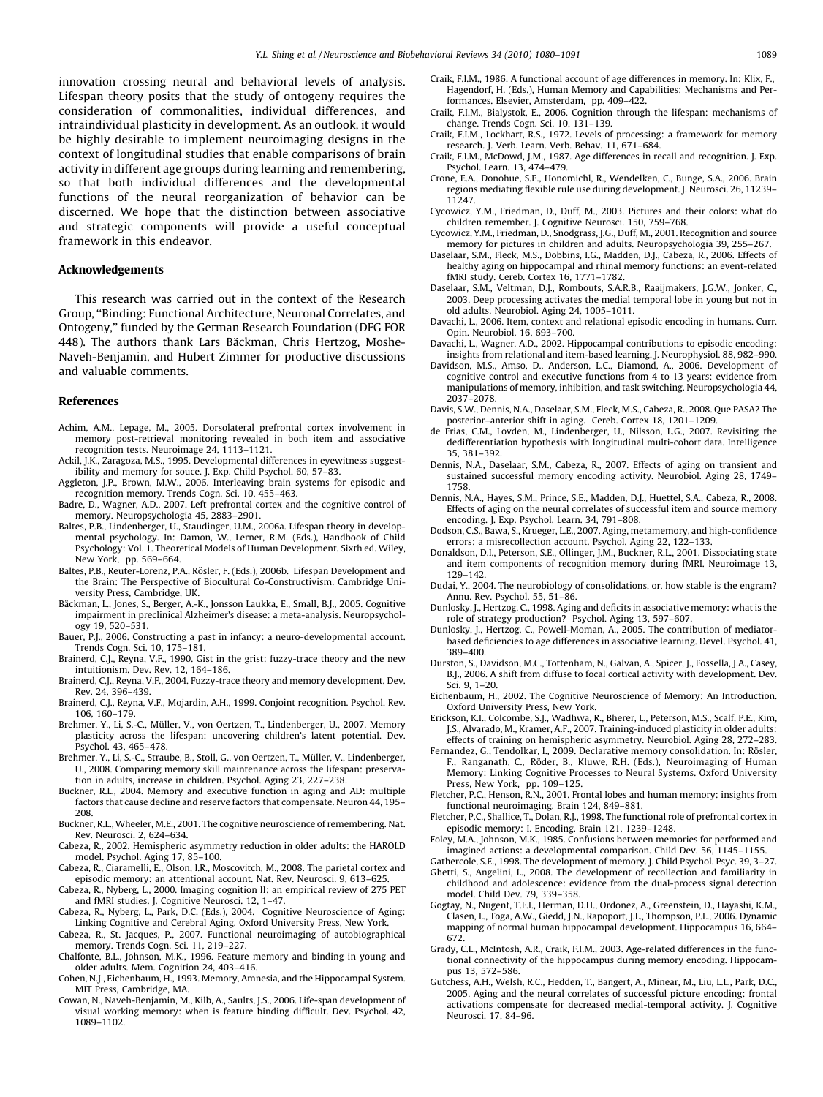<span id="page-9-0"></span>innovation crossing neural and behavioral levels of analysis. Lifespan theory posits that the study of ontogeny requires the consideration of commonalities, individual differences, and intraindividual plasticity in development. As an outlook, it would be highly desirable to implement neuroimaging designs in the context of longitudinal studies that enable comparisons of brain activity in different age groups during learning and remembering, so that both individual differences and the developmental functions of the neural reorganization of behavior can be discerned. We hope that the distinction between associative and strategic components will provide a useful conceptual framework in this endeavor.

#### Acknowledgements

This research was carried out in the context of the Research Group, ''Binding: Functional Architecture, Neuronal Correlates, and Ontogeny,'' funded by the German Research Foundation (DFG FOR 448). The authors thank Lars Bäckman, Chris Hertzog, Moshe-Naveh-Benjamin, and Hubert Zimmer for productive discussions and valuable comments.

#### References

- Achim, A.M., Lepage, M., 2005. Dorsolateral prefrontal cortex involvement in memory post-retrieval monitoring revealed in both item and associative recognition tests. Neuroimage 24, 1113–1121.
- Ackil, J.K., Zaragoza, M.S., 1995. Developmental differences in eyewitness suggestibility and memory for souce. J. Exp. Child Psychol. 60, 57–83.
- Aggleton, J.P., Brown, M.W., 2006. Interleaving brain systems for episodic and recognition memory. Trends Cogn. Sci. 10, 455–463.
- Badre, D., Wagner, A.D., 2007. Left prefrontal cortex and the cognitive control of memory. Neuropsychologia 45, 2883–2901.
- Baltes, P.B., Lindenberger, U., Staudinger, U.M., 2006a. Lifespan theory in developmental psychology. In: Damon, W., Lerner, R.M. (Eds.), Handbook of Child Psychology: Vol. 1. Theoretical Models of Human Development. Sixth ed. Wiley, New York, pp. 569–664.
- Baltes, P.B., Reuter-Lorenz, P.A., Rösler, F. (Eds.), 2006b. Lifespan Development and the Brain: The Perspective of Biocultural Co-Constructivism. Cambridge University Press, Cambridge, UK.
- Bäckman, L., Jones, S., Berger, A.-K., Jonsson Laukka, E., Small, B.J., 2005. Cognitive impairment in preclinical Alzheimer's disease: a meta-analysis. Neuropsychology 19, 520–531.
- Bauer, P.J., 2006. Constructing a past in infancy: a neuro-developmental account. Trends Cogn. Sci. 10, 175–181.
- Brainerd, C.J., Reyna, V.F., 1990. Gist in the grist: fuzzy-trace theory and the new intuitionism. Dev. Rev. 12, 164–186.
- Brainerd, C.J., Reyna, V.F., 2004. Fuzzy-trace theory and memory development. Dev. Rev. 24, 396–439.
- Brainerd, C.J., Reyna, V.F., Mojardin, A.H., 1999. Conjoint recognition. Psychol. Rev. 106, 160–179.
- Brehmer, Y., Li, S.-C., Müller, V., von Oertzen, T., Lindenberger, U., 2007. Memory plasticity across the lifespan: uncovering children's latent potential. Dev. Psychol. 43, 465–478.
- Brehmer, Y., Li, S.-C., Straube, B., Stoll, G., von Oertzen, T., Müller, V., Lindenberger, U., 2008. Comparing memory skill maintenance across the lifespan: preservation in adults, increase in children. Psychol. Aging 23, 227–238.
- Buckner, R.L., 2004. Memory and executive function in aging and AD: multiple factors that cause decline and reserve factors that compensate. Neuron 44, 195– 208.
- Buckner, R.L., Wheeler, M.E., 2001. The cognitive neuroscience of remembering. Nat. Rev. Neurosci. 2, 624–634.
- Cabeza, R., 2002. Hemispheric asymmetry reduction in older adults: the HAROLD model. Psychol. Aging 17, 85–100.
- Cabeza, R., Ciaramelli, E., Olson, I.R., Moscovitch, M., 2008. The parietal cortex and episodic memory: an attentional account. Nat. Rev. Neurosci. 9, 613–625.
- Cabeza, R., Nyberg, L., 2000. Imaging cognition II: an empirical review of 275 PET and fMRI studies. J. Cognitive Neurosci. 12, 1–47.
- Cabeza, R., Nyberg, L., Park, D.C. (Eds.), 2004. Cognitive Neuroscience of Aging: Linking Cognitive and Cerebral Aging. Oxford University Press, New York.
- Cabeza, R., St. Jacques, P., 2007. Functional neuroimaging of autobiographical memory. Trends Cogn. Sci. 11, 219–227. Chalfonte, B.L., Johnson, M.K., 1996. Feature memory and binding in young and
- older adults. Mem. Cognition 24, 403–416. Cohen, N.J., Eichenbaum, H., 1993. Memory, Amnesia, and the Hippocampal System.
- MIT Press, Cambridge, MA.
- Cowan, N., Naveh-Benjamin, M., Kilb, A., Saults, J.S., 2006. Life-span development of visual working memory: when is feature binding difficult. Dev. Psychol. 42, 1089–1102.
- Craik, F.I.M., 1986. A functional account of age differences in memory. In: Klix, F., Hagendorf, H. (Eds.), Human Memory and Capabilities: Mechanisms and Performances. Elsevier, Amsterdam, pp. 409–422.
- Craik, F.I.M., Bialystok, E., 2006. Cognition through the lifespan: mechanisms of change. Trends Cogn. Sci. 10, 131–139.
- Craik, F.I.M., Lockhart, R.S., 1972. Levels of processing: a framework for memory research. J. Verb. Learn. Verb. Behav. 11, 671–684.
- Craik, F.I.M., McDowd, J.M., 1987. Age differences in recall and recognition. J. Exp. Psychol. Learn. 13, 474–479.
- Crone, E.A., Donohue, S.E., Honomichl, R., Wendelken, C., Bunge, S.A., 2006. Brain regions mediating flexible rule use during development. J. Neurosci. 26, 11239– 11247.
- Cycowicz, Y.M., Friedman, D., Duff, M., 2003. Pictures and their colors: what do children remember. J. Cognitive Neurosci. 150, 759–768.
- Cycowicz, Y.M., Friedman, D., Snodgrass, J.G., Duff, M., 2001. Recognition and source memory for pictures in children and adults. Neuropsychologia 39, 255–267.
- Daselaar, S.M., Fleck, M.S., Dobbins, I.G., Madden, D.J., Cabeza, R., 2006. Effects of healthy aging on hippocampal and rhinal memory functions: an event-related fMRI study. Cereb. Cortex 16, 1771–1782.
- Daselaar, S.M., Veltman, D.J., Rombouts, S.A.R.B., Raaijmakers, J.G.W., Jonker, C., 2003. Deep processing activates the medial temporal lobe in young but not in old adults. Neurobiol. Aging 24, 1005–1011.
- Davachi, L., 2006. Item, context and relational episodic encoding in humans. Curr. Opin. Neurobiol. 16, 693–700.
- Davachi, L., Wagner, A.D., 2002. Hippocampal contributions to episodic encoding: insights from relational and item-based learning. J. Neurophysiol. 88, 982–990.
- Davidson, M.S., Amso, D., Anderson, L.C., Diamond, A., 2006. Development of cognitive control and executive functions from 4 to 13 years: evidence from manipulations of memory, inhibition, and task switching. Neuropsychologia 44, 2037–2078.
- Davis, S.W., Dennis, N.A., Daselaar, S.M., Fleck, M.S., Cabeza, R., 2008. Que PASA? The posterior–anterior shift in aging. Cereb. Cortex 18, 1201–1209.
- de Frias, C.M., Lovden, M., Lindenberger, U., Nilsson, L.G., 2007. Revisiting the dedifferentiation hypothesis with longitudinal multi-cohort data. Intelligence 35, 381–392.
- Dennis, N.A., Daselaar, S.M., Cabeza, R., 2007. Effects of aging on transient and sustained successful memory encoding activity. Neurobiol. Aging 28, 1749– 1758.
- Dennis, N.A., Hayes, S.M., Prince, S.E., Madden, D.J., Huettel, S.A., Cabeza, R., 2008. Effects of aging on the neural correlates of successful item and source memory encoding. J. Exp. Psychol. Learn. 34, 791–808.
- Dodson, C.S., Bawa, S., Krueger, L.E., 2007. Aging, metamemory, and high-confidence errors: a misrecollection account. Psychol. Aging 22, 122–133.

Donaldson, D.I., Peterson, S.E., Ollinger, J.M., Buckner, R.L., 2001. Dissociating state and item components of recognition memory during fMRI. Neuroimage 13, 129–142.

- Dudai, Y., 2004. The neurobiology of consolidations, or, how stable is the engram? Annu. Rev. Psychol. 55, 51–86.
- Dunlosky, J., Hertzog, C., 1998. Aging and deficits in associative memory: what is the role of strategy production? Psychol. Aging 13, 597–607.
- Dunlosky, J., Hertzog, C., Powell-Moman, A., 2005. The contribution of mediatorbased deficiencies to age differences in associative learning. Devel. Psychol. 41, 389–400.
- Durston, S., Davidson, M.C., Tottenham, N., Galvan, A., Spicer, J., Fossella, J.A., Casey, B.J., 2006. A shift from diffuse to focal cortical activity with development. Dev. Sci. 9, 1–20.
- Eichenbaum, H., 2002. The Cognitive Neuroscience of Memory: An Introduction. Oxford University Press, New York.
- Erickson, K.I., Colcombe, S.J., Wadhwa, R., Bherer, L., Peterson, M.S., Scalf, P.E., Kim, J.S., Alvarado, M., Kramer, A.F., 2007. Training-induced plasticity in older adults: effects of training on hemispheric asymmetry. Neurobiol. Aging 28, 272–283.
- Fernandez, G., Tendolkar, I., 2009. Declarative memory consolidation. In: Rösler, F., Ranganath, C., Röder, B., Kluwe, R.H. (Eds.), Neuroimaging of Human Memory: Linking Cognitive Processes to Neural Systems. Oxford University Press, New York, pp. 109–125.
- Fletcher, P.C., Henson, R.N., 2001. Frontal lobes and human memory: insights from functional neuroimaging. Brain 124, 849–881.
- Fletcher, P.C., Shallice, T., Dolan, R.J., 1998. The functional role of prefrontal cortex in episodic memory: I. Encoding. Brain 121, 1239–1248.
- Foley, M.A., Johnson, M.K., 1985. Confusions between memories for performed and imagined actions: a developmental comparison. Child Dev. 56, 1145–1155.
- Gathercole, S.E., 1998. The development of memory. J. Child Psychol. Psyc. 39, 3–27. Ghetti, S., Angelini, L., 2008. The development of recollection and familiarity in childhood and adolescence: evidence from the dual-process signal detection model. Child Dev. 79, 339–358.
- Gogtay, N., Nugent, T.F.I., Herman, D.H., Ordonez, A., Greenstein, D., Hayashi, K.M., Clasen, L., Toga, A.W., Giedd, J.N., Rapoport, J.L., Thompson, P.L., 2006. Dynamic mapping of normal human hippocampal development. Hippocampus 16, 664– 672.
- Grady, C.L., McIntosh, A.R., Craik, F.I.M., 2003. Age-related differences in the functional connectivity of the hippocampus during memory encoding. Hippocampus 13, 572–586.
- Gutchess, A.H., Welsh, R.C., Hedden, T., Bangert, A., Minear, M., Liu, L.L., Park, D.C., 2005. Aging and the neural correlates of successful picture encoding: frontal activations compensate for decreased medial-temporal activity. J. Cognitive Neurosci. 17, 84–96.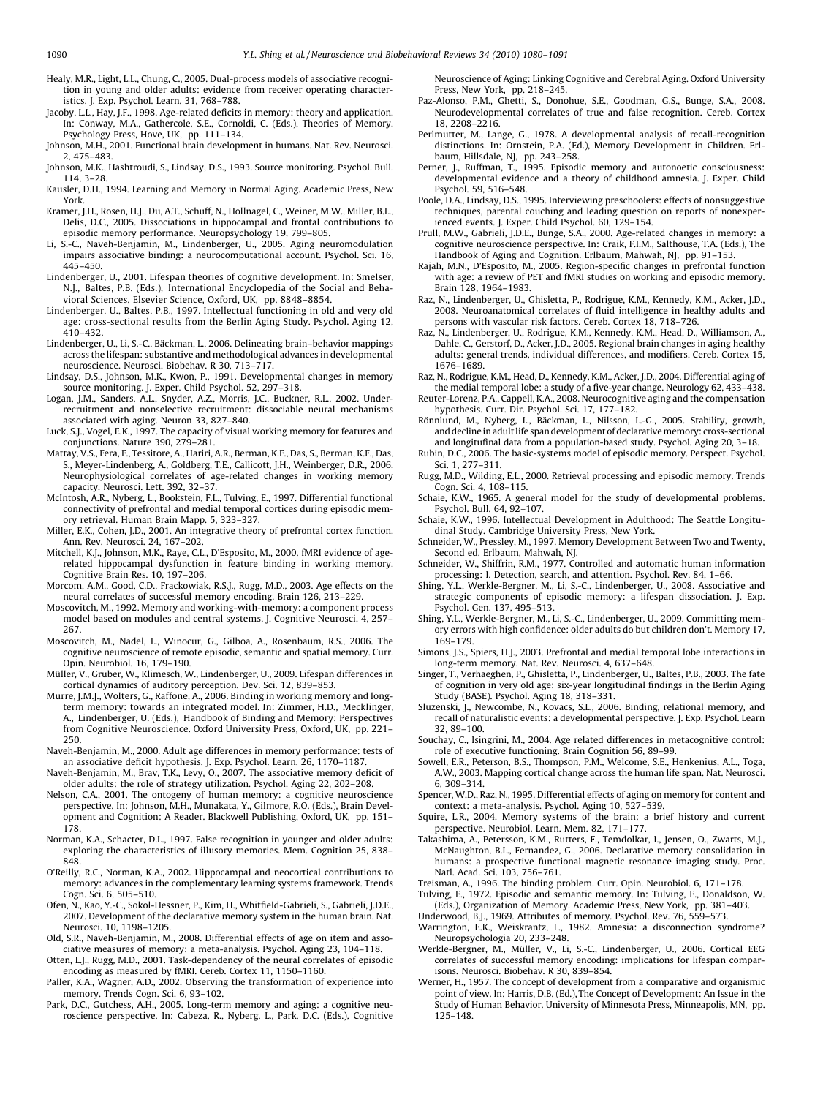- <span id="page-10-0"></span>Healy, M.R., Light, L.L., Chung, C., 2005. Dual-process models of associative recognition in young and older adults: evidence from receiver operating characteristics. J. Exp. Psychol. Learn. 31, 768–788.
- Jacoby, L.L., Hay, J.F., 1998. Age-related deficits in memory: theory and application. In: Conway, M.A., Gathercole, S.E., Cornoldi, C. (Eds.), Theories of Memory. Psychology Press, Hove, UK, pp. 111–134.
- Johnson, M.H., 2001. Functional brain development in humans. Nat. Rev. Neurosci. 2, 475–483.
- Johnson, M.K., Hashtroudi, S., Lindsay, D.S., 1993. Source monitoring. Psychol. Bull. 114, 3–28.
- Kausler, D.H., 1994. Learning and Memory in Normal Aging. Academic Press, New York.
- Kramer, J.H., Rosen, H.J., Du, A.T., Schuff, N., Hollnagel, C., Weiner, M.W., Miller, B.L., Delis, D.C., 2005. Dissociations in hippocampal and frontal contributions to episodic memory performance. Neuropsychology 19, 799–805.
- Li, S.-C., Naveh-Benjamin, M., Lindenberger, U., 2005. Aging neuromodulation impairs associative binding: a neurocomputational account. Psychol. Sci. 16, 445–450.
- Lindenberger, U., 2001. Lifespan theories of cognitive development. In: Smelser, N.J., Baltes, P.B. (Eds.), International Encyclopedia of the Social and Behavioral Sciences. Elsevier Science, Oxford, UK, pp. 8848-8854.
- Lindenberger, U., Baltes, P.B., 1997. Intellectual functioning in old and very old age: cross-sectional results from the Berlin Aging Study. Psychol. Aging 12, 410–432.
- Lindenberger, U., Li, S.-C., Bäckman, L., 2006. Delineating brain–behavior mappings across the lifespan: substantive and methodological advances in developmental neuroscience. Neurosci. Biobehav. R 30, 713–717.
- Lindsay, D.S., Johnson, M.K., Kwon, P., 1991. Developmental changes in memory source monitoring. J. Exper. Child Psychol. 52, 297-318.
- Logan, J.M., Sanders, A.L., Snyder, A.Z., Morris, J.C., Buckner, R.L., 2002. Underrecruitment and nonselective recruitment: dissociable neural mechanisms associated with aging. Neuron 33, 827–840.
- Luck, S.J., Vogel, E.K., 1997. The capacity of visual working memory for features and conjunctions. Nature 390, 279–281.
- Mattay, V.S., Fera, F., Tessitore, A., Hariri, A.R., Berman, K.F., Das, S., Berman, K.F., Das, S., Meyer-Lindenberg, A., Goldberg, T.E., Callicott, J.H., Weinberger, D.R., 2006. Neurophysiological correlates of age-related changes in working memory capacity. Neurosci. Lett. 392, 32–37.
- McIntosh, A.R., Nyberg, L., Bookstein, F.L., Tulving, E., 1997. Differential functional connectivity of prefrontal and medial temporal cortices during episodic memory retrieval. Human Brain Mapp. 5, 323–327.
- Miller, E.K., Cohen, J.D., 2001. An integrative theory of prefrontal cortex function. Ann. Rev. Neurosci. 24, 167–202.
- Mitchell, K.J., Johnson, M.K., Raye, C.L., D'Esposito, M., 2000. fMRI evidence of agerelated hippocampal dysfunction in feature binding in working memory. Cognitive Brain Res. 10, 197–206.
- Morcom, A.M., Good, C.D., Frackowiak, R.S.J., Rugg, M.D., 2003. Age effects on the neural correlates of successful memory encoding. Brain 126, 213–229.
- Moscovitch, M., 1992. Memory and working-with-memory: a component process model based on modules and central systems. J. Cognitive Neurosci. 4, 257– 267.
- Moscovitch, M., Nadel, L., Winocur, G., Gilboa, A., Rosenbaum, R.S., 2006. The cognitive neuroscience of remote episodic, semantic and spatial memory. Curr. Opin. Neurobiol. 16, 179–190.
- Müller, V., Gruber, W., Klimesch, W., Lindenberger, U., 2009. Lifespan differences in cortical dynamics of auditory perception. Dev. Sci. 12, 839–853.
- Murre, J.M.J., Wolters, G., Raffone, A., 2006. Binding in working memory and longterm memory: towards an integrated model. In: Zimmer, H.D., Mecklinger, A., Lindenberger, U. (Eds.), Handbook of Binding and Memory: Perspectives from Cognitive Neuroscience. Oxford University Press, Oxford, UK, pp. 221– 250.
- Naveh-Benjamin, M., 2000. Adult age differences in memory performance: tests of an associative deficit hypothesis. J. Exp. Psychol. Learn. 26, 1170–1187.
- Naveh-Benjamin, M., Brav, T.K., Levy, O., 2007. The associative memory deficit of older adults: the role of strategy utilization. Psychol. Aging 22, 202–208.
- Nelson, C.A., 2001. The ontogeny of human memory: a cognitive neuroscience perspective. In: Johnson, M.H., Munakata, Y., Gilmore, R.O. (Eds.), Brain Development and Cognition: A Reader. Blackwell Publishing, Oxford, UK, pp. 151– 178.
- Norman, K.A., Schacter, D.L., 1997. False recognition in younger and older adults: exploring the characteristics of illusory memories. Mem. Cognition 25, 838– 848.
- O'Reilly, R.C., Norman, K.A., 2002. Hippocampal and neocortical contributions to memory: advances in the complementary learning systems framework. Trends Cogn. Sci. 6, 505–510.
- Ofen, N., Kao, Y.-C., Sokol-Hessner, P., Kim, H., Whitfield-Gabrieli, S., Gabrieli, J.D.E., 2007. Development of the declarative memory system in the human brain. Nat. Neurosci. 10, 1198–1205.
- Old, S.R., Naveh-Benjamin, M., 2008. Differential effects of age on item and associative measures of memory: a meta-analysis. Psychol. Aging 23, 104–118.
- Otten, L.J., Rugg, M.D., 2001. Task-dependency of the neural correlates of episodic encoding as measured by fMRI. Cereb. Cortex 11, 1150–1160.
- Paller, K.A., Wagner, A.D., 2002. Observing the transformation of experience into memory. Trends Cogn. Sci. 6, 93–102.
- Park, D.C., Gutchess, A.H., 2005. Long-term memory and aging: a cognitive neuroscience perspective. In: Cabeza, R., Nyberg, L., Park, D.C. (Eds.), Cognitive

Neuroscience of Aging: Linking Cognitive and Cerebral Aging. Oxford University Press, New York, pp. 218–245.

- Paz-Alonso, P.M., Ghetti, S., Donohue, S.E., Goodman, G.S., Bunge, S.A., 2008. Neurodevelopmental correlates of true and false recognition. Cereb. Cortex 18, 2208–2216.
- Perlmutter, M., Lange, G., 1978. A developmental analysis of recall-recognition distinctions. In: Ornstein, P.A. (Ed.), Memory Development in Children. Erlbaum, Hillsdale, NJ, pp. 243–258.
- Perner, J., Ruffman, T., 1995. Episodic memory and autonoetic consciousness: developmental evidence and a theory of childhood amnesia. J. Exper. Child Psychol. 59, 516–548.
- Poole, D.A., Lindsay, D.S., 1995. Interviewing preschoolers: effects of nonsuggestive techniques, parental couching and leading question on reports of nonexperienced events. J. Exper. Child Psychol. 60, 129–154.
- Prull, M.W., Gabrieli, J.D.E., Bunge, S.A., 2000. Age-related changes in memory: a cognitive neuroscience perspective. In: Craik, F.I.M., Salthouse, T.A. (Eds.), The Handbook of Aging and Cognition. Erlbaum, Mahwah, NJ, pp. 91–153.
- Rajah, M.N., D'Esposito, M., 2005. Region-specific changes in prefrontal function with age: a review of PET and fMRI studies on working and episodic memory. Brain 128, 1964–1983.
- Raz, N., Lindenberger, U., Ghisletta, P., Rodrigue, K.M., Kennedy, K.M., Acker, J.D., 2008. Neuroanatomical correlates of fluid intelligence in healthy adults and persons with vascular risk factors. Cereb. Cortex 18, 718–726.
- Raz, N., Lindenberger, U., Rodrigue, K.M., Kennedy, K.M., Head, D., Williamson, A., Dahle, C., Gerstorf, D., Acker, J.D., 2005. Regional brain changes in aging healthy adults: general trends, individual differences, and modifiers. Cereb. Cortex 15, 1676–1689.
- Raz, N., Rodrigue, K.M., Head, D., Kennedy, K.M., Acker, J.D., 2004. Differential aging of the medial temporal lobe: a study of a five-year change. Neurology 62, 433–438.
- Reuter-Lorenz, P.A., Cappell, K.A., 2008. Neurocognitive aging and the compensation hypothesis. Curr. Dir. Psychol. Sci. 17, 177–182.
- Rönnlund, M., Nyberg, L., Bäckman, L., Nilsson, L.-G., 2005. Stability, growth, and decline in adult life span development of declarative memory: cross-sectional and longitufinal data from a population-based study. Psychol. Aging 20, 3–18.
- Rubin, D.C., 2006. The basic-systems model of episodic memory. Perspect. Psychol. Sci. 1, 277–311.
- Rugg, M.D., Wilding, E.L., 2000. Retrieval processing and episodic memory. Trends Cogn. Sci. 4, 108–115.
- Schaie, K.W., 1965. A general model for the study of developmental problems. Psychol. Bull. 64, 92–107.
- Schaie, K.W., 1996. Intellectual Development in Adulthood: The Seattle Longitudinal Study. Cambridge University Press, New York.
- Schneider, W., Pressley, M., 1997. Memory Development Between Two and Twenty, Second ed. Erlbaum, Mahwah, NJ.
- Schneider, W., Shiffrin, R.M., 1977. Controlled and automatic human information processing: I. Detection, search, and attention. Psychol. Rev. 84, 1–66.
- Shing, Y.L., Werkle-Bergner, M., Li, S.-C., Lindenberger, U., 2008. Associative and strategic components of episodic memory: a lifespan dissociation. J. Exp. Psychol. Gen. 137, 495–513.
- Shing, Y.L., Werkle-Bergner, M., Li, S.-C., Lindenberger, U., 2009. Committing memory errors with high confidence: older adults do but children don't. Memory 17, 169–179.
- Simons, J.S., Spiers, H.J., 2003. Prefrontal and medial temporal lobe interactions in long-term memory. Nat. Rev. Neurosci. 4, 637–648.
- Singer, T., Verhaeghen, P., Ghisletta, P., Lindenberger, U., Baltes, P.B., 2003. The fate of cognition in very old age: six-year longitudinal findings in the Berlin Aging Study (BASE). Psychol. Aging 18, 318–331.
- Sluzenski, J., Newcombe, N., Kovacs, S.L., 2006. Binding, relational memory, and recall of naturalistic events: a developmental perspective. J. Exp. Psychol. Learn 32, 89–100.
- Souchay, C., Isingrini, M., 2004. Age related differences in metacognitive control: role of executive functioning. Brain Cognition 56, 89–99.
- Sowell, E.R., Peterson, B.S., Thompson, P.M., Welcome, S.E., Henkenius, A.L., Toga, A.W., 2003. Mapping cortical change across the human life span. Nat. Neurosci. 6, 309–314.
- Spencer, W.D., Raz, N., 1995. Differential effects of aging on memory for content and context: a meta-analysis. Psychol. Aging 10, 527–539.
- Squire, L.R., 2004. Memory systems of the brain: a brief history and current perspective. Neurobiol. Learn. Mem. 82, 171–177.
- Takashima, A., Petersson, K.M., Rutters, F., Temdolkar, I., Jensen, O., Zwarts, M.J., McNaughton, B.L., Fernandez, G., 2006. Declarative memory consolidation in humans: a prospective functional magnetic resonance imaging study. Proc. Natl. Acad. Sci. 103, 756–761.
- Treisman, A., 1996. The binding problem. Curr. Opin. Neurobiol. 6, 171–178.
- Tulving, E., 1972. Episodic and semantic memory. In: Tulving, E., Donaldson, W. (Eds.), Organization of Memory. Academic Press, New York, pp. 381–403.
- Underwood, B.J., 1969. Attributes of memory. Psychol. Rev. 76, 559–573.
- Warrington, E.K., Weiskrantz, L., 1982. Amnesia: a disconnection syndrome? Neuropsychologia 20, 233–248. Werkle-Bergner, M., Müller, V., Li, S.-C., Lindenberger, U., 2006. Cortical EEG
- correlates of successful memory encoding: implications for lifespan comparisons. Neurosci. Biobehav. R 30, 839–854.
- Werner, H., 1957. The concept of development from a comparative and organismic point of view. In: Harris, D.B. (Ed.), The Concept of Development: An Issue in the Study of Human Behavior. University of Minnesota Press, Minneapolis, MN, pp. 125–148.